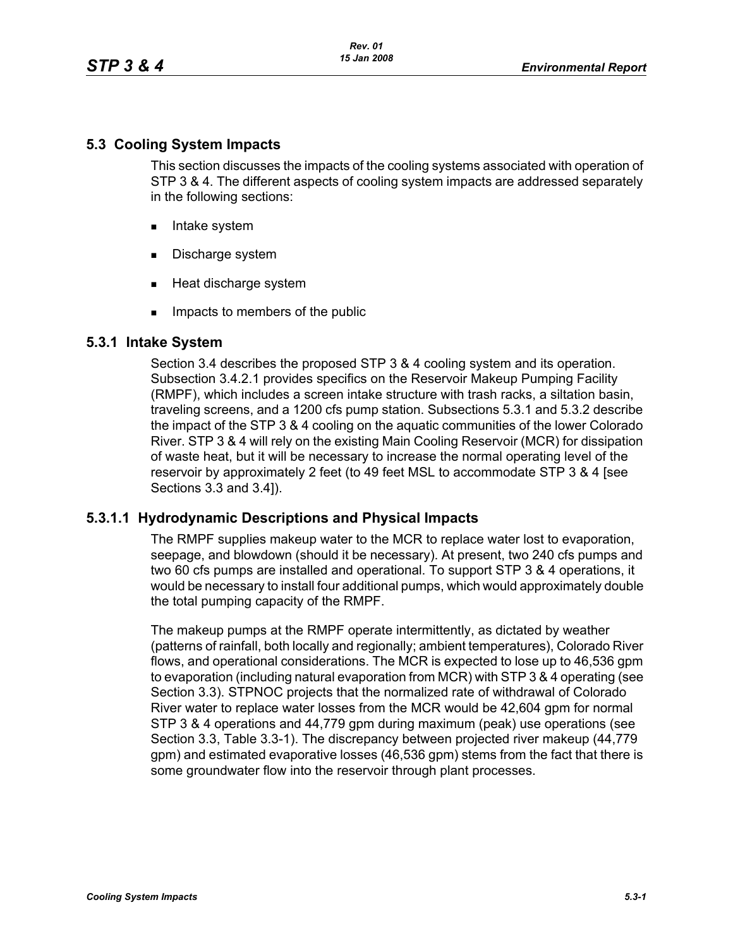# **5.3 Cooling System Impacts**

This section discusses the impacts of the cooling systems associated with operation of STP 3 & 4. The different aspects of cooling system impacts are addressed separately in the following sections:

- $\blacksquare$  Intake system
- Discharge system
- **Heat discharge system**
- **IMPACTE THE MEMBER IMPACT** Impacts to members of the public

## **5.3.1 Intake System**

Section 3.4 describes the proposed STP 3 & 4 cooling system and its operation. Subsection 3.4.2.1 provides specifics on the Reservoir Makeup Pumping Facility (RMPF), which includes a screen intake structure with trash racks, a siltation basin, traveling screens, and a 1200 cfs pump station. Subsections 5.3.1 and 5.3.2 describe the impact of the STP 3 & 4 cooling on the aquatic communities of the lower Colorado River. STP 3 & 4 will rely on the existing Main Cooling Reservoir (MCR) for dissipation of waste heat, but it will be necessary to increase the normal operating level of the reservoir by approximately 2 feet (to 49 feet MSL to accommodate STP 3 & 4 [see Sections 3.3 and 3.4]).

## **5.3.1.1 Hydrodynamic Descriptions and Physical Impacts**

The RMPF supplies makeup water to the MCR to replace water lost to evaporation, seepage, and blowdown (should it be necessary). At present, two 240 cfs pumps and two 60 cfs pumps are installed and operational. To support STP 3 & 4 operations, it would be necessary to install four additional pumps, which would approximately double the total pumping capacity of the RMPF.

The makeup pumps at the RMPF operate intermittently, as dictated by weather (patterns of rainfall, both locally and regionally; ambient temperatures), Colorado River flows, and operational considerations. The MCR is expected to lose up to 46,536 gpm to evaporation (including natural evaporation from MCR) with STP 3 & 4 operating (see Section 3.3). STPNOC projects that the normalized rate of withdrawal of Colorado River water to replace water losses from the MCR would be 42,604 gpm for normal STP 3 & 4 operations and 44,779 gpm during maximum (peak) use operations (see Section 3.3, Table 3.3-1). The discrepancy between projected river makeup (44,779 gpm) and estimated evaporative losses (46,536 gpm) stems from the fact that there is some groundwater flow into the reservoir through plant processes.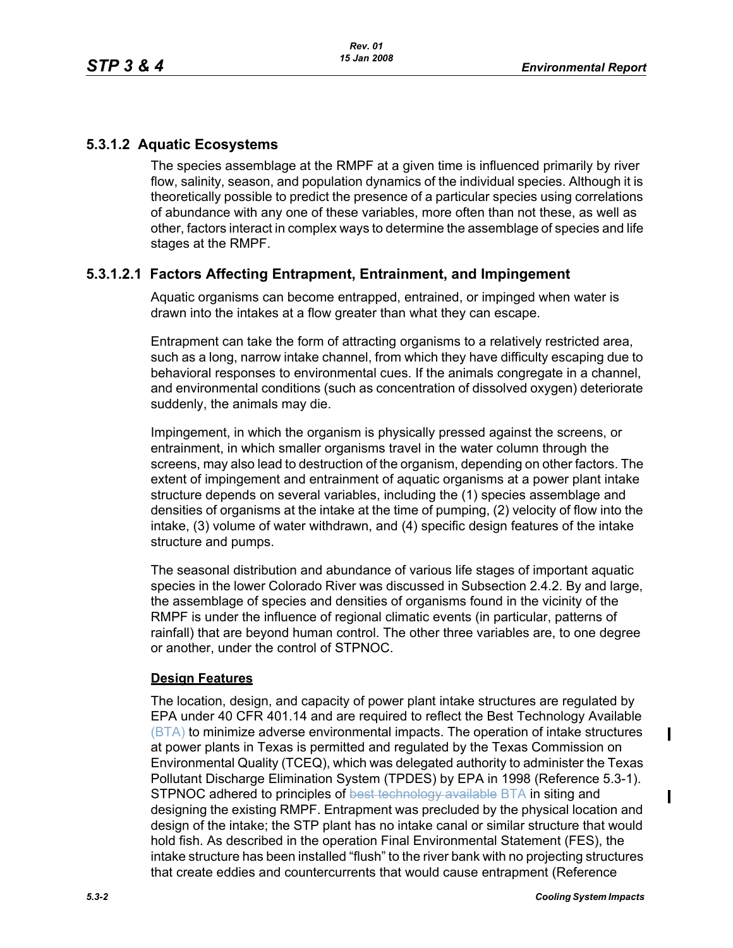# **5.3.1.2 Aquatic Ecosystems**

The species assemblage at the RMPF at a given time is influenced primarily by river flow, salinity, season, and population dynamics of the individual species. Although it is theoretically possible to predict the presence of a particular species using correlations of abundance with any one of these variables, more often than not these, as well as other, factors interact in complex ways to determine the assemblage of species and life stages at the RMPF.

# **5.3.1.2.1 Factors Affecting Entrapment, Entrainment, and Impingement**

Aquatic organisms can become entrapped, entrained, or impinged when water is drawn into the intakes at a flow greater than what they can escape.

Entrapment can take the form of attracting organisms to a relatively restricted area, such as a long, narrow intake channel, from which they have difficulty escaping due to behavioral responses to environmental cues. If the animals congregate in a channel, and environmental conditions (such as concentration of dissolved oxygen) deteriorate suddenly, the animals may die.

Impingement, in which the organism is physically pressed against the screens, or entrainment, in which smaller organisms travel in the water column through the screens, may also lead to destruction of the organism, depending on other factors. The extent of impingement and entrainment of aquatic organisms at a power plant intake structure depends on several variables, including the (1) species assemblage and densities of organisms at the intake at the time of pumping, (2) velocity of flow into the intake, (3) volume of water withdrawn, and (4) specific design features of the intake structure and pumps.

The seasonal distribution and abundance of various life stages of important aquatic species in the lower Colorado River was discussed in Subsection 2.4.2. By and large, the assemblage of species and densities of organisms found in the vicinity of the RMPF is under the influence of regional climatic events (in particular, patterns of rainfall) that are beyond human control. The other three variables are, to one degree or another, under the control of STPNOC.

## **Design Features**

The location, design, and capacity of power plant intake structures are regulated by EPA under 40 CFR 401.14 and are required to reflect the Best Technology Available (BTA) to minimize adverse environmental impacts. The operation of intake structures at power plants in Texas is permitted and regulated by the Texas Commission on Environmental Quality (TCEQ), which was delegated authority to administer the Texas Pollutant Discharge Elimination System (TPDES) by EPA in 1998 (Reference 5.3-1). STPNOC adhered to principles of best technology available BTA in siting and designing the existing RMPF. Entrapment was precluded by the physical location and design of the intake; the STP plant has no intake canal or similar structure that would hold fish. As described in the operation Final Environmental Statement (FES), the intake structure has been installed "flush" to the river bank with no projecting structures that create eddies and countercurrents that would cause entrapment (Reference

 $\blacksquare$ 

 $\mathbf{I}$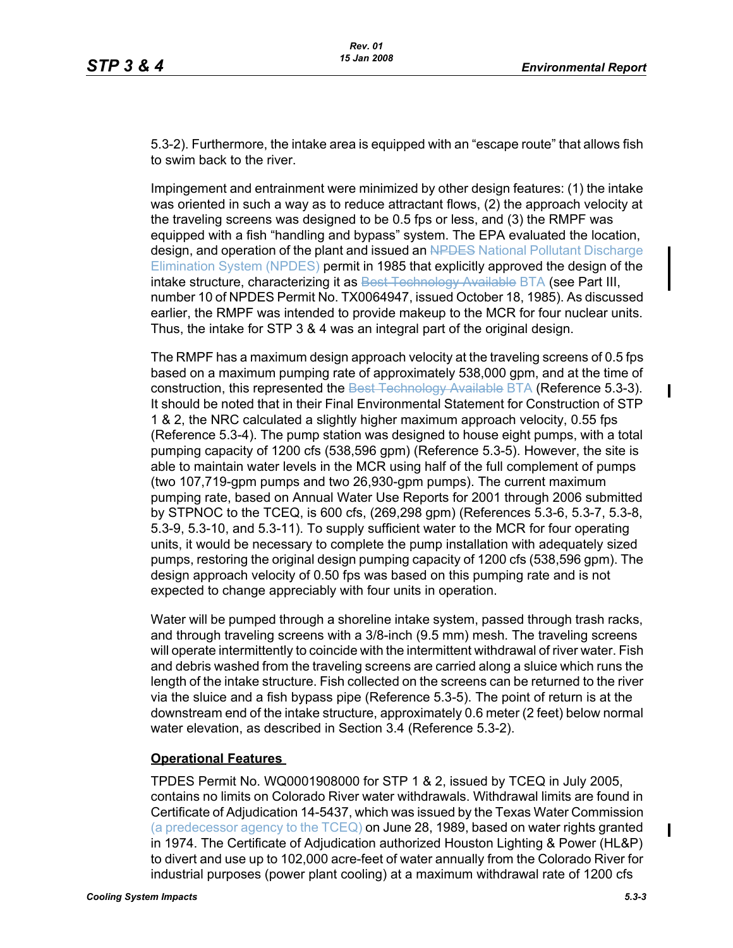5.3-2). Furthermore, the intake area is equipped with an "escape route" that allows fish to swim back to the river.

Impingement and entrainment were minimized by other design features: (1) the intake was oriented in such a way as to reduce attractant flows, (2) the approach velocity at the traveling screens was designed to be 0.5 fps or less, and (3) the RMPF was equipped with a fish "handling and bypass" system. The EPA evaluated the location, design, and operation of the plant and issued an NPDES National Pollutant Discharge Elimination System (NPDES) permit in 1985 that explicitly approved the design of the intake structure, characterizing it as Best Technology Available BTA (see Part III, number 10 of NPDES Permit No. TX0064947, issued October 18, 1985). As discussed earlier, the RMPF was intended to provide makeup to the MCR for four nuclear units. Thus, the intake for STP 3 & 4 was an integral part of the original design.

The RMPF has a maximum design approach velocity at the traveling screens of 0.5 fps based on a maximum pumping rate of approximately 538,000 gpm, and at the time of construction, this represented the Best Technology Available BTA (Reference 5.3-3). It should be noted that in their Final Environmental Statement for Construction of STP 1 & 2, the NRC calculated a slightly higher maximum approach velocity, 0.55 fps (Reference 5.3-4). The pump station was designed to house eight pumps, with a total pumping capacity of 1200 cfs (538,596 gpm) (Reference 5.3-5). However, the site is able to maintain water levels in the MCR using half of the full complement of pumps (two 107,719-gpm pumps and two 26,930-gpm pumps). The current maximum pumping rate, based on Annual Water Use Reports for 2001 through 2006 submitted by STPNOC to the TCEQ, is 600 cfs, (269,298 gpm) (References 5.3-6, 5.3-7, 5.3-8, 5.3-9, 5.3-10, and 5.3-11). To supply sufficient water to the MCR for four operating units, it would be necessary to complete the pump installation with adequately sized pumps, restoring the original design pumping capacity of 1200 cfs (538,596 gpm). The design approach velocity of 0.50 fps was based on this pumping rate and is not expected to change appreciably with four units in operation.

Water will be pumped through a shoreline intake system, passed through trash racks, and through traveling screens with a 3/8-inch (9.5 mm) mesh. The traveling screens will operate intermittently to coincide with the intermittent withdrawal of river water. Fish and debris washed from the traveling screens are carried along a sluice which runs the length of the intake structure. Fish collected on the screens can be returned to the river via the sluice and a fish bypass pipe (Reference 5.3-5). The point of return is at the downstream end of the intake structure, approximately 0.6 meter (2 feet) below normal water elevation, as described in Section 3.4 (Reference 5.3-2).

## **Operational Features**

TPDES Permit No. WQ0001908000 for STP 1 & 2, issued by TCEQ in July 2005, contains no limits on Colorado River water withdrawals. Withdrawal limits are found in Certificate of Adjudication 14-5437, which was issued by the Texas Water Commission (a predecessor agency to the  $TCEQ$ ) on June 28, 1989, based on water rights granted in 1974. The Certificate of Adjudication authorized Houston Lighting & Power (HL&P) to divert and use up to 102,000 acre-feet of water annually from the Colorado River for industrial purposes (power plant cooling) at a maximum withdrawal rate of 1200 cfs

П

 $\mathbf I$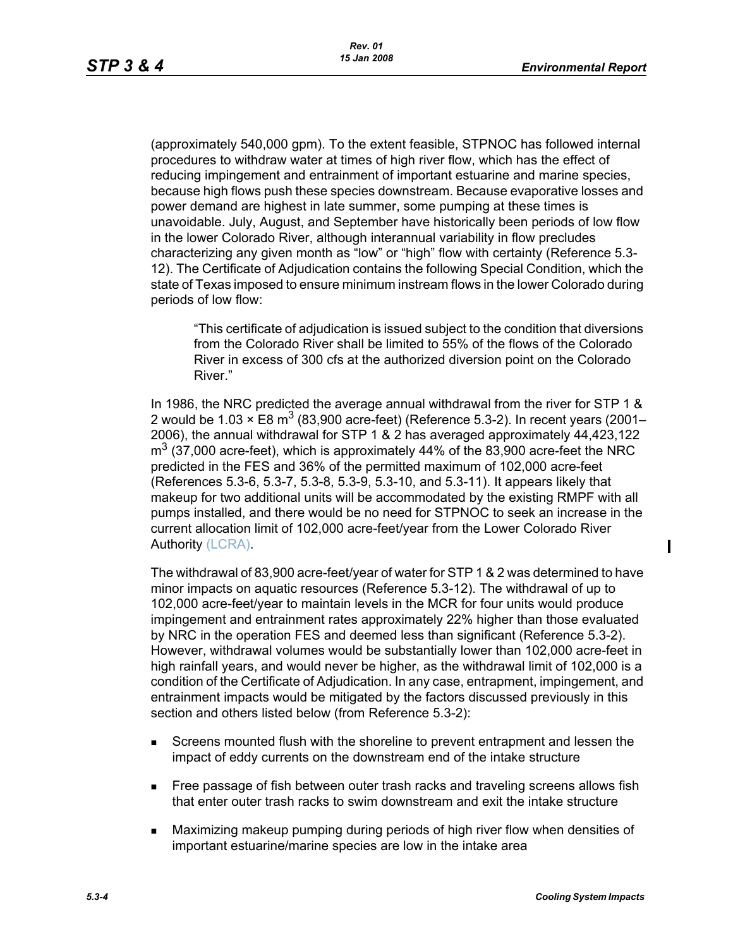(approximately 540,000 gpm). To the extent feasible, STPNOC has followed internal procedures to withdraw water at times of high river flow, which has the effect of reducing impingement and entrainment of important estuarine and marine species, because high flows push these species downstream. Because evaporative losses and power demand are highest in late summer, some pumping at these times is unavoidable. July, August, and September have historically been periods of low flow in the lower Colorado River, although interannual variability in flow precludes characterizing any given month as "low" or "high" flow with certainty (Reference 5.3- 12). The Certificate of Adjudication contains the following Special Condition, which the state of Texas imposed to ensure minimum instream flows in the lower Colorado during periods of low flow:

"This certificate of adjudication is issued subject to the condition that diversions from the Colorado River shall be limited to 55% of the flows of the Colorado River in excess of 300 cfs at the authorized diversion point on the Colorado River."

In 1986, the NRC predicted the average annual withdrawal from the river for STP 1 & 2 would be 1.03  $\times$  E8 m<sup>3</sup> (83,900 acre-feet) (Reference 5.3-2). In recent years (2001– 2006), the annual withdrawal for STP 1 & 2 has averaged approximately 44,423,122  $\text{m}^3$  (37,000 acre-feet), which is approximately 44% of the 83,900 acre-feet the NRC predicted in the FES and 36% of the permitted maximum of 102,000 acre-feet (References 5.3-6, 5.3-7, 5.3-8, 5.3-9, 5.3-10, and 5.3-11). It appears likely that makeup for two additional units will be accommodated by the existing RMPF with all pumps installed, and there would be no need for STPNOC to seek an increase in the current allocation limit of 102,000 acre-feet/year from the Lower Colorado River Authority (LCRA).

The withdrawal of 83,900 acre-feet/year of water for STP 1 & 2 was determined to have minor impacts on aquatic resources (Reference 5.3-12). The withdrawal of up to 102,000 acre-feet/year to maintain levels in the MCR for four units would produce impingement and entrainment rates approximately 22% higher than those evaluated by NRC in the operation FES and deemed less than significant (Reference 5.3-2). However, withdrawal volumes would be substantially lower than 102,000 acre-feet in high rainfall years, and would never be higher, as the withdrawal limit of 102,000 is a condition of the Certificate of Adjudication. In any case, entrapment, impingement, and entrainment impacts would be mitigated by the factors discussed previously in this section and others listed below (from Reference 5.3-2):

- Screens mounted flush with the shoreline to prevent entrapment and lessen the impact of eddy currents on the downstream end of the intake structure
- **Free passage of fish between outer trash racks and traveling screens allows fish** that enter outer trash racks to swim downstream and exit the intake structure
- Maximizing makeup pumping during periods of high river flow when densities of important estuarine/marine species are low in the intake area

 $\mathbf I$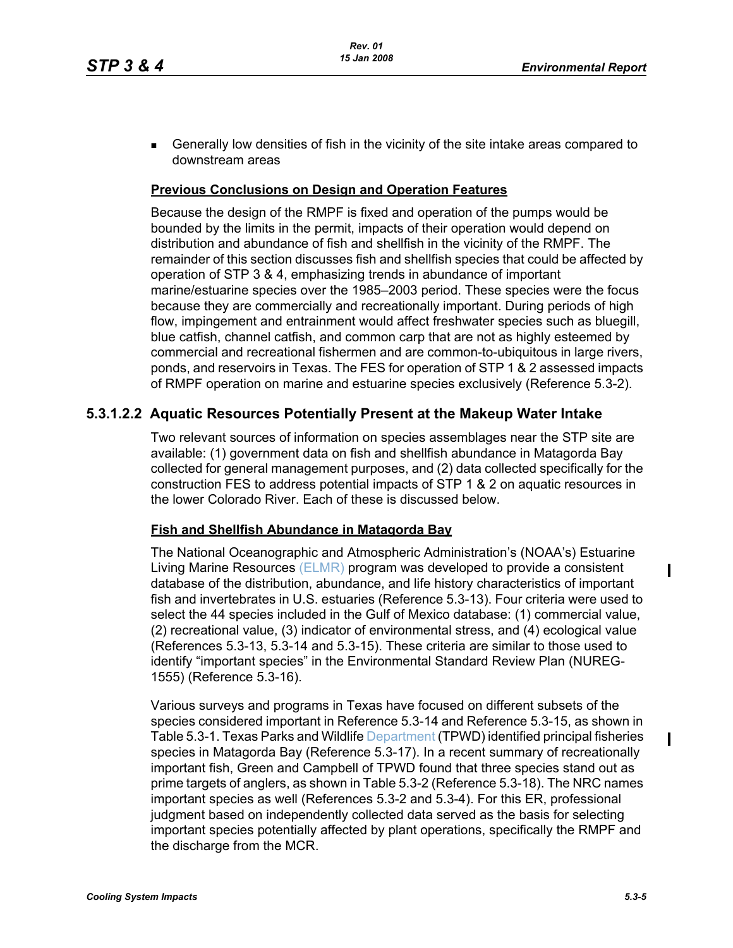**Generally low densities of fish in the vicinity of the site intake areas compared to** downstream areas

#### **Previous Conclusions on Design and Operation Features**

Because the design of the RMPF is fixed and operation of the pumps would be bounded by the limits in the permit, impacts of their operation would depend on distribution and abundance of fish and shellfish in the vicinity of the RMPF. The remainder of this section discusses fish and shellfish species that could be affected by operation of STP 3 & 4, emphasizing trends in abundance of important marine/estuarine species over the 1985–2003 period. These species were the focus because they are commercially and recreationally important. During periods of high flow, impingement and entrainment would affect freshwater species such as bluegill, blue catfish, channel catfish, and common carp that are not as highly esteemed by commercial and recreational fishermen and are common-to-ubiquitous in large rivers, ponds, and reservoirs in Texas. The FES for operation of STP 1 & 2 assessed impacts of RMPF operation on marine and estuarine species exclusively (Reference 5.3-2).

# **5.3.1.2.2 Aquatic Resources Potentially Present at the Makeup Water Intake**

Two relevant sources of information on species assemblages near the STP site are available: (1) government data on fish and shellfish abundance in Matagorda Bay collected for general management purposes, and (2) data collected specifically for the construction FES to address potential impacts of STP 1 & 2 on aquatic resources in the lower Colorado River. Each of these is discussed below.

#### **Fish and Shellfish Abundance in Matagorda Bay**

The National Oceanographic and Atmospheric Administration's (NOAA's) Estuarine Living Marine Resources (ELMR) program was developed to provide a consistent database of the distribution, abundance, and life history characteristics of important fish and invertebrates in U.S. estuaries (Reference 5.3-13). Four criteria were used to select the 44 species included in the Gulf of Mexico database: (1) commercial value, (2) recreational value, (3) indicator of environmental stress, and (4) ecological value (References 5.3-13, 5.3-14 and 5.3-15). These criteria are similar to those used to identify "important species" in the Environmental Standard Review Plan (NUREG-1555) (Reference 5.3-16).

Various surveys and programs in Texas have focused on different subsets of the species considered important in Reference 5.3-14 and Reference 5.3-15, as shown in Table 5.3-1. Texas Parks and Wildlife Department (TPWD) identified principal fisheries species in Matagorda Bay (Reference 5.3-17). In a recent summary of recreationally important fish, Green and Campbell of TPWD found that three species stand out as prime targets of anglers, as shown in Table 5.3-2 (Reference 5.3-18). The NRC names important species as well (References 5.3-2 and 5.3-4). For this ER, professional judgment based on independently collected data served as the basis for selecting important species potentially affected by plant operations, specifically the RMPF and the discharge from the MCR.

 $\mathbf I$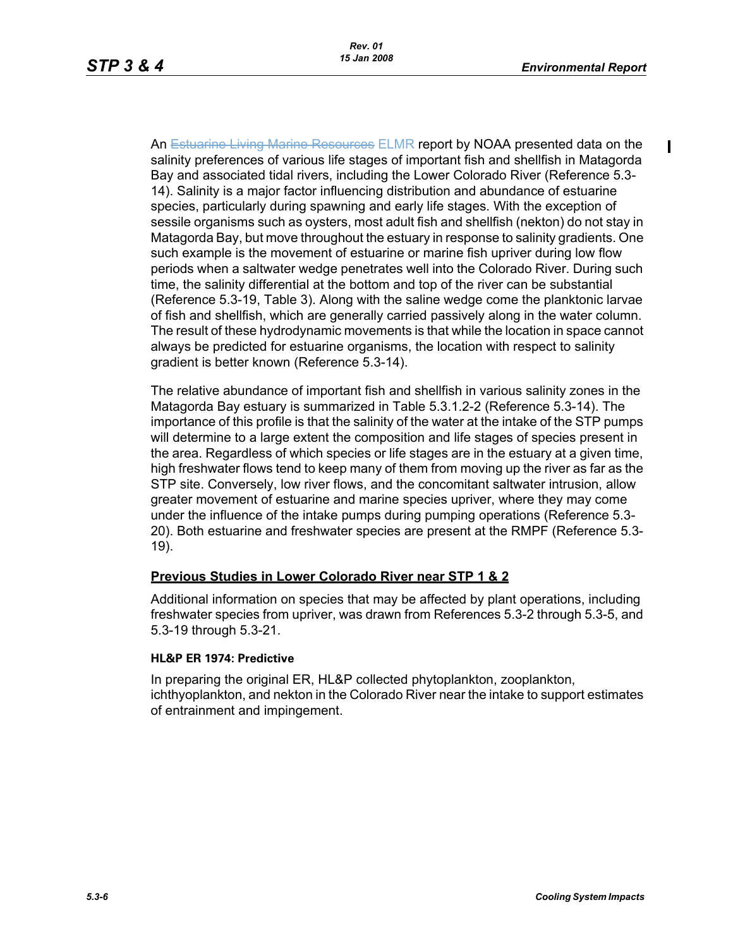An Estuarine Living Marine Resources ELMR report by NOAA presented data on the salinity preferences of various life stages of important fish and shellfish in Matagorda Bay and associated tidal rivers, including the Lower Colorado River (Reference 5.3- 14). Salinity is a major factor influencing distribution and abundance of estuarine species, particularly during spawning and early life stages. With the exception of sessile organisms such as oysters, most adult fish and shellfish (nekton) do not stay in Matagorda Bay, but move throughout the estuary in response to salinity gradients. One such example is the movement of estuarine or marine fish upriver during low flow periods when a saltwater wedge penetrates well into the Colorado River. During such time, the salinity differential at the bottom and top of the river can be substantial (Reference 5.3-19, Table 3). Along with the saline wedge come the planktonic larvae of fish and shellfish, which are generally carried passively along in the water column. The result of these hydrodynamic movements is that while the location in space cannot always be predicted for estuarine organisms, the location with respect to salinity gradient is better known (Reference 5.3-14).

The relative abundance of important fish and shellfish in various salinity zones in the Matagorda Bay estuary is summarized in Table 5.3.1.2-2 (Reference 5.3-14). The importance of this profile is that the salinity of the water at the intake of the STP pumps will determine to a large extent the composition and life stages of species present in the area. Regardless of which species or life stages are in the estuary at a given time, high freshwater flows tend to keep many of them from moving up the river as far as the STP site. Conversely, low river flows, and the concomitant saltwater intrusion, allow greater movement of estuarine and marine species upriver, where they may come under the influence of the intake pumps during pumping operations (Reference 5.3- 20). Both estuarine and freshwater species are present at the RMPF (Reference 5.3- 19).

## **Previous Studies in Lower Colorado River near STP 1 & 2**

Additional information on species that may be affected by plant operations, including freshwater species from upriver, was drawn from References 5.3-2 through 5.3-5, and 5.3-19 through 5.3-21.

#### **HL&P ER 1974: Predictive**

In preparing the original ER, HL&P collected phytoplankton, zooplankton, ichthyoplankton, and nekton in the Colorado River near the intake to support estimates of entrainment and impingement.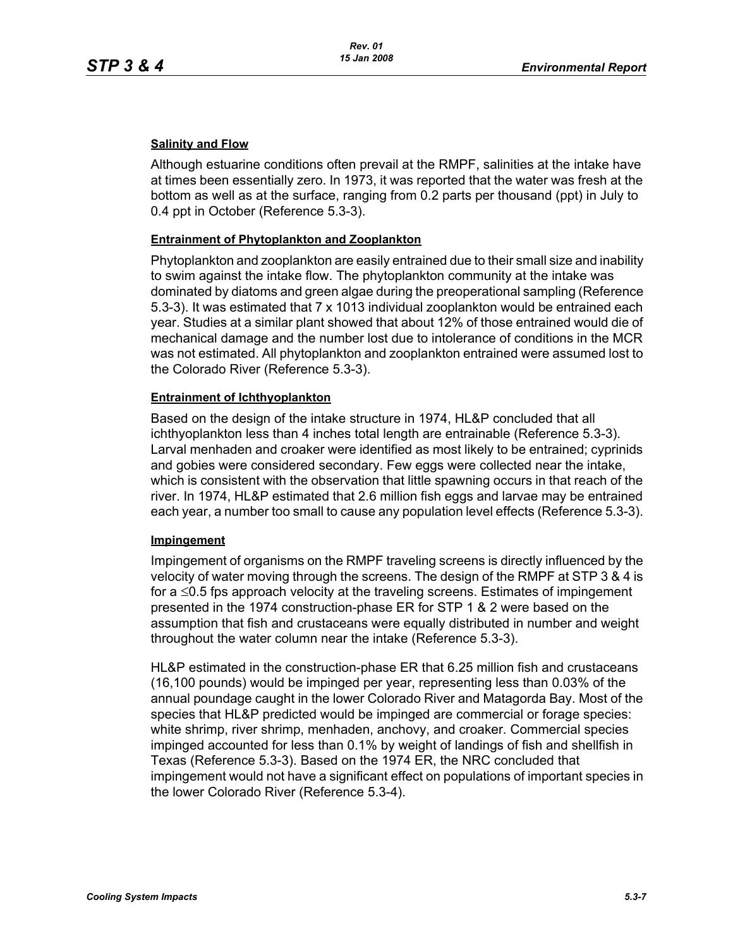### **Salinity and Flow**

Although estuarine conditions often prevail at the RMPF, salinities at the intake have at times been essentially zero. In 1973, it was reported that the water was fresh at the bottom as well as at the surface, ranging from 0.2 parts per thousand (ppt) in July to 0.4 ppt in October (Reference 5.3-3).

### **Entrainment of Phytoplankton and Zooplankton**

Phytoplankton and zooplankton are easily entrained due to their small size and inability to swim against the intake flow. The phytoplankton community at the intake was dominated by diatoms and green algae during the preoperational sampling (Reference 5.3-3). It was estimated that 7 x 1013 individual zooplankton would be entrained each year. Studies at a similar plant showed that about 12% of those entrained would die of mechanical damage and the number lost due to intolerance of conditions in the MCR was not estimated. All phytoplankton and zooplankton entrained were assumed lost to the Colorado River (Reference 5.3-3).

#### **Entrainment of Ichthyoplankton**

Based on the design of the intake structure in 1974, HL&P concluded that all ichthyoplankton less than 4 inches total length are entrainable (Reference 5.3-3). Larval menhaden and croaker were identified as most likely to be entrained; cyprinids and gobies were considered secondary. Few eggs were collected near the intake, which is consistent with the observation that little spawning occurs in that reach of the river. In 1974, HL&P estimated that 2.6 million fish eggs and larvae may be entrained each year, a number too small to cause any population level effects (Reference 5.3-3).

#### **Impingement**

Impingement of organisms on the RMPF traveling screens is directly influenced by the velocity of water moving through the screens. The design of the RMPF at STP 3 & 4 is for a ≤0.5 fps approach velocity at the traveling screens. Estimates of impingement presented in the 1974 construction-phase ER for STP 1 & 2 were based on the assumption that fish and crustaceans were equally distributed in number and weight throughout the water column near the intake (Reference 5.3-3).

HL&P estimated in the construction-phase ER that 6.25 million fish and crustaceans (16,100 pounds) would be impinged per year, representing less than 0.03% of the annual poundage caught in the lower Colorado River and Matagorda Bay. Most of the species that HL&P predicted would be impinged are commercial or forage species: white shrimp, river shrimp, menhaden, anchovy, and croaker. Commercial species impinged accounted for less than 0.1% by weight of landings of fish and shellfish in Texas (Reference 5.3-3). Based on the 1974 ER, the NRC concluded that impingement would not have a significant effect on populations of important species in the lower Colorado River (Reference 5.3-4).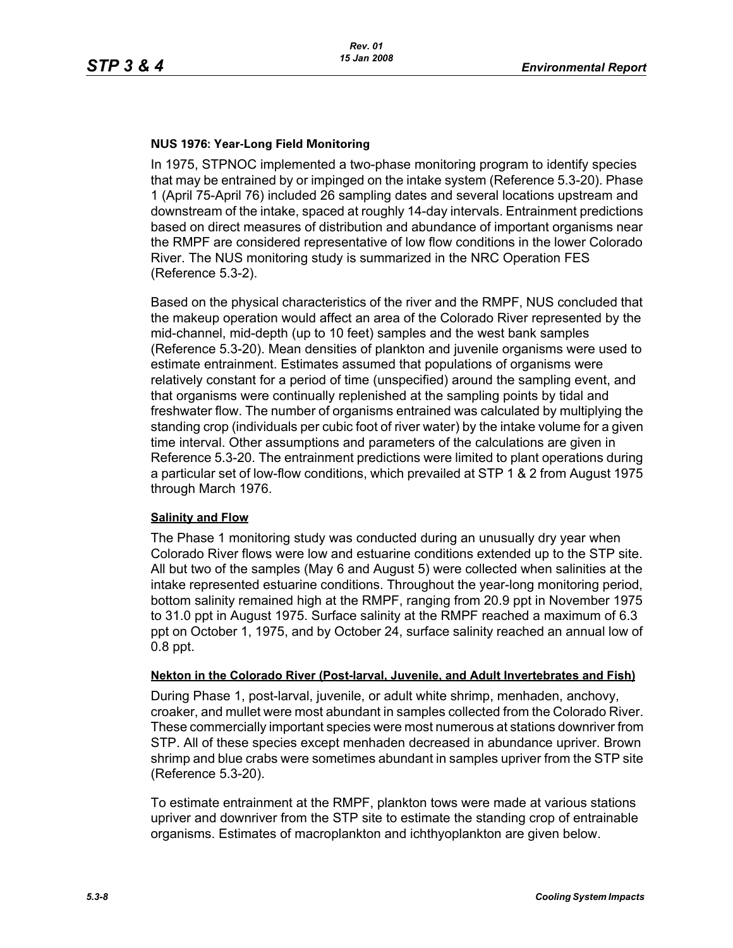### **NUS 1976: Year-Long Field Monitoring**

In 1975, STPNOC implemented a two-phase monitoring program to identify species that may be entrained by or impinged on the intake system (Reference 5.3-20). Phase 1 (April 75-April 76) included 26 sampling dates and several locations upstream and downstream of the intake, spaced at roughly 14-day intervals. Entrainment predictions based on direct measures of distribution and abundance of important organisms near the RMPF are considered representative of low flow conditions in the lower Colorado River. The NUS monitoring study is summarized in the NRC Operation FES (Reference 5.3-2).

Based on the physical characteristics of the river and the RMPF, NUS concluded that the makeup operation would affect an area of the Colorado River represented by the mid-channel, mid-depth (up to 10 feet) samples and the west bank samples (Reference 5.3-20). Mean densities of plankton and juvenile organisms were used to estimate entrainment. Estimates assumed that populations of organisms were relatively constant for a period of time (unspecified) around the sampling event, and that organisms were continually replenished at the sampling points by tidal and freshwater flow. The number of organisms entrained was calculated by multiplying the standing crop (individuals per cubic foot of river water) by the intake volume for a given time interval. Other assumptions and parameters of the calculations are given in Reference 5.3-20. The entrainment predictions were limited to plant operations during a particular set of low-flow conditions, which prevailed at STP 1 & 2 from August 1975 through March 1976.

## **Salinity and Flow**

The Phase 1 monitoring study was conducted during an unusually dry year when Colorado River flows were low and estuarine conditions extended up to the STP site. All but two of the samples (May 6 and August 5) were collected when salinities at the intake represented estuarine conditions. Throughout the year-long monitoring period, bottom salinity remained high at the RMPF, ranging from 20.9 ppt in November 1975 to 31.0 ppt in August 1975. Surface salinity at the RMPF reached a maximum of 6.3 ppt on October 1, 1975, and by October 24, surface salinity reached an annual low of 0.8 ppt.

#### **Nekton in the Colorado River (Post-larval, Juvenile, and Adult Invertebrates and Fish)**

During Phase 1, post-larval, juvenile, or adult white shrimp, menhaden, anchovy, croaker, and mullet were most abundant in samples collected from the Colorado River. These commercially important species were most numerous at stations downriver from STP. All of these species except menhaden decreased in abundance upriver. Brown shrimp and blue crabs were sometimes abundant in samples upriver from the STP site (Reference 5.3-20).

To estimate entrainment at the RMPF, plankton tows were made at various stations upriver and downriver from the STP site to estimate the standing crop of entrainable organisms. Estimates of macroplankton and ichthyoplankton are given below.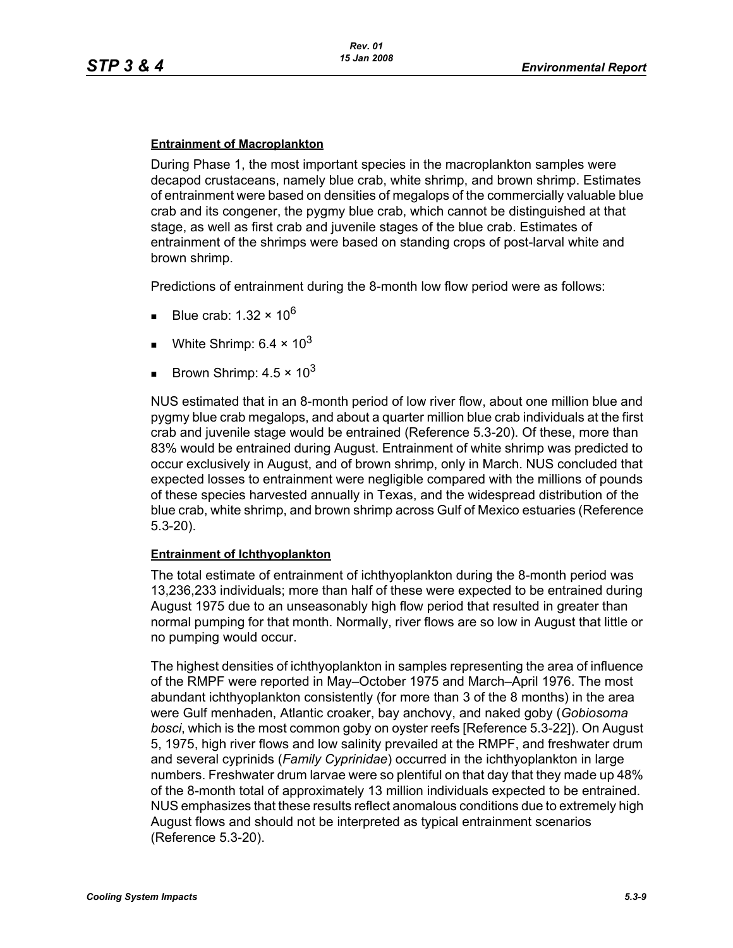#### **Entrainment of Macroplankton**

During Phase 1, the most important species in the macroplankton samples were decapod crustaceans, namely blue crab, white shrimp, and brown shrimp. Estimates of entrainment were based on densities of megalops of the commercially valuable blue crab and its congener, the pygmy blue crab, which cannot be distinguished at that stage, as well as first crab and juvenile stages of the blue crab. Estimates of entrainment of the shrimps were based on standing crops of post-larval white and brown shrimp.

Predictions of entrainment during the 8-month low flow period were as follows:

- Blue crab: 1.32  $\times$  10<sup>6</sup>
- White Shrimp:  $6.4 \times 10^3$
- Brown Shrimp:  $4.5 \times 10^3$

NUS estimated that in an 8-month period of low river flow, about one million blue and pygmy blue crab megalops, and about a quarter million blue crab individuals at the first crab and juvenile stage would be entrained (Reference 5.3-20). Of these, more than 83% would be entrained during August. Entrainment of white shrimp was predicted to occur exclusively in August, and of brown shrimp, only in March. NUS concluded that expected losses to entrainment were negligible compared with the millions of pounds of these species harvested annually in Texas, and the widespread distribution of the blue crab, white shrimp, and brown shrimp across Gulf of Mexico estuaries (Reference 5.3-20).

#### **Entrainment of Ichthyoplankton**

The total estimate of entrainment of ichthyoplankton during the 8-month period was 13,236,233 individuals; more than half of these were expected to be entrained during August 1975 due to an unseasonably high flow period that resulted in greater than normal pumping for that month. Normally, river flows are so low in August that little or no pumping would occur.

The highest densities of ichthyoplankton in samples representing the area of influence of the RMPF were reported in May–October 1975 and March–April 1976. The most abundant ichthyoplankton consistently (for more than 3 of the 8 months) in the area were Gulf menhaden, Atlantic croaker, bay anchovy, and naked goby (*Gobiosoma bosci*, which is the most common goby on oyster reefs [Reference 5.3-22]). On August 5, 1975, high river flows and low salinity prevailed at the RMPF, and freshwater drum and several cyprinids (*Family Cyprinidae*) occurred in the ichthyoplankton in large numbers. Freshwater drum larvae were so plentiful on that day that they made up 48% of the 8-month total of approximately 13 million individuals expected to be entrained. NUS emphasizes that these results reflect anomalous conditions due to extremely high August flows and should not be interpreted as typical entrainment scenarios (Reference 5.3-20).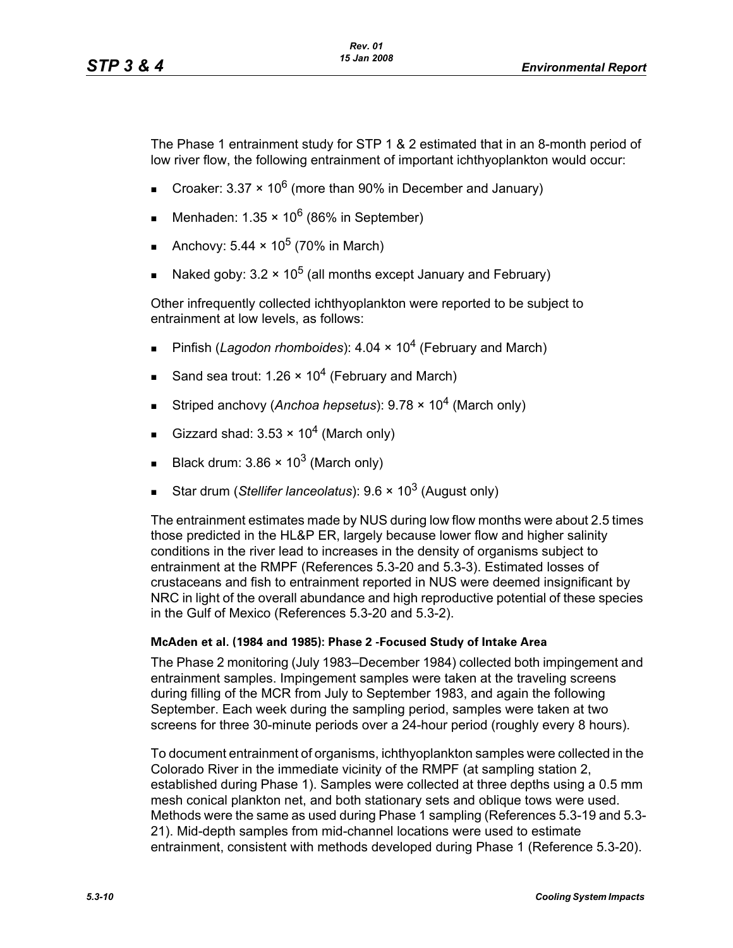The Phase 1 entrainment study for STP 1 & 2 estimated that in an 8-month period of low river flow, the following entrainment of important ichthyoplankton would occur:

- Croaker: 3.37  $\times$  10<sup>6</sup> (more than 90% in December and January)
- Menhaden:  $1.35 \times 10^6$  (86% in September)
- Anchovy:  $5.44 \times 10^5$  (70% in March)
- Naked goby:  $3.2 \times 10^5$  (all months except January and February)

Other infrequently collected ichthyoplankton were reported to be subject to entrainment at low levels, as follows:

- Pinfish (*Lagodon rhomboides*): 4.04 × 10<sup>4</sup> (February and March)
- Sand sea trout: 1.26  $\times$  10<sup>4</sup> (February and March)
- Striped anchovy (*Anchoa hepsetus*): 9.78 × 10<sup>4</sup> (March only)
- Gizzard shad:  $3.53 \times 10^4$  (March only)
- Black drum:  $3.86 \times 10^3$  (March only)
- Star drum (*Stellifer lanceolatus*): 9.6 × 10<sup>3</sup> (August only)

The entrainment estimates made by NUS during low flow months were about 2.5 times those predicted in the HL&P ER, largely because lower flow and higher salinity conditions in the river lead to increases in the density of organisms subject to entrainment at the RMPF (References 5.3-20 and 5.3-3). Estimated losses of crustaceans and fish to entrainment reported in NUS were deemed insignificant by NRC in light of the overall abundance and high reproductive potential of these species in the Gulf of Mexico (References 5.3-20 and 5.3-2).

## **McAden et al. (1984 and 1985): Phase 2 -Focused Study of Intake Area**

The Phase 2 monitoring (July 1983–December 1984) collected both impingement and entrainment samples. Impingement samples were taken at the traveling screens during filling of the MCR from July to September 1983, and again the following September. Each week during the sampling period, samples were taken at two screens for three 30-minute periods over a 24-hour period (roughly every 8 hours).

To document entrainment of organisms, ichthyoplankton samples were collected in the Colorado River in the immediate vicinity of the RMPF (at sampling station 2, established during Phase 1). Samples were collected at three depths using a 0.5 mm mesh conical plankton net, and both stationary sets and oblique tows were used. Methods were the same as used during Phase 1 sampling (References 5.3-19 and 5.3- 21). Mid-depth samples from mid-channel locations were used to estimate entrainment, consistent with methods developed during Phase 1 (Reference 5.3-20).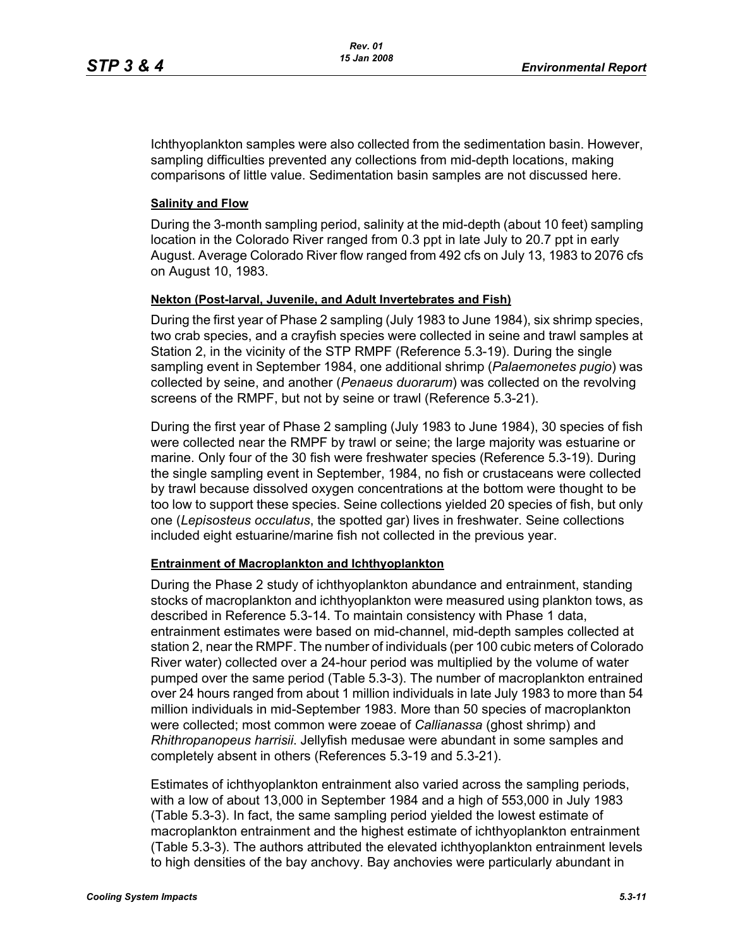Ichthyoplankton samples were also collected from the sedimentation basin. However, sampling difficulties prevented any collections from mid-depth locations, making comparisons of little value. Sedimentation basin samples are not discussed here.

#### **Salinity and Flow**

During the 3-month sampling period, salinity at the mid-depth (about 10 feet) sampling location in the Colorado River ranged from 0.3 ppt in late July to 20.7 ppt in early August. Average Colorado River flow ranged from 492 cfs on July 13, 1983 to 2076 cfs on August 10, 1983.

#### **Nekton (Post-larval, Juvenile, and Adult Invertebrates and Fish)**

During the first year of Phase 2 sampling (July 1983 to June 1984), six shrimp species, two crab species, and a crayfish species were collected in seine and trawl samples at Station 2, in the vicinity of the STP RMPF (Reference 5.3-19). During the single sampling event in September 1984, one additional shrimp (*Palaemonetes pugio*) was collected by seine, and another (*Penaeus duorarum*) was collected on the revolving screens of the RMPF, but not by seine or trawl (Reference 5.3-21).

During the first year of Phase 2 sampling (July 1983 to June 1984), 30 species of fish were collected near the RMPF by trawl or seine; the large majority was estuarine or marine. Only four of the 30 fish were freshwater species (Reference 5.3-19). During the single sampling event in September, 1984, no fish or crustaceans were collected by trawl because dissolved oxygen concentrations at the bottom were thought to be too low to support these species. Seine collections yielded 20 species of fish, but only one (*Lepisosteus occulatus*, the spotted gar) lives in freshwater. Seine collections included eight estuarine/marine fish not collected in the previous year.

#### **Entrainment of Macroplankton and Ichthyoplankton**

During the Phase 2 study of ichthyoplankton abundance and entrainment, standing stocks of macroplankton and ichthyoplankton were measured using plankton tows, as described in Reference 5.3-14. To maintain consistency with Phase 1 data, entrainment estimates were based on mid-channel, mid-depth samples collected at station 2, near the RMPF. The number of individuals (per 100 cubic meters of Colorado River water) collected over a 24-hour period was multiplied by the volume of water pumped over the same period (Table 5.3-3). The number of macroplankton entrained over 24 hours ranged from about 1 million individuals in late July 1983 to more than 54 million individuals in mid-September 1983. More than 50 species of macroplankton were collected; most common were zoeae of *Callianassa* (ghost shrimp) and *Rhithropanopeus harrisii*. Jellyfish medusae were abundant in some samples and completely absent in others (References 5.3-19 and 5.3-21).

Estimates of ichthyoplankton entrainment also varied across the sampling periods, with a low of about 13,000 in September 1984 and a high of 553,000 in July 1983 (Table 5.3-3). In fact, the same sampling period yielded the lowest estimate of macroplankton entrainment and the highest estimate of ichthyoplankton entrainment (Table 5.3-3). The authors attributed the elevated ichthyoplankton entrainment levels to high densities of the bay anchovy. Bay anchovies were particularly abundant in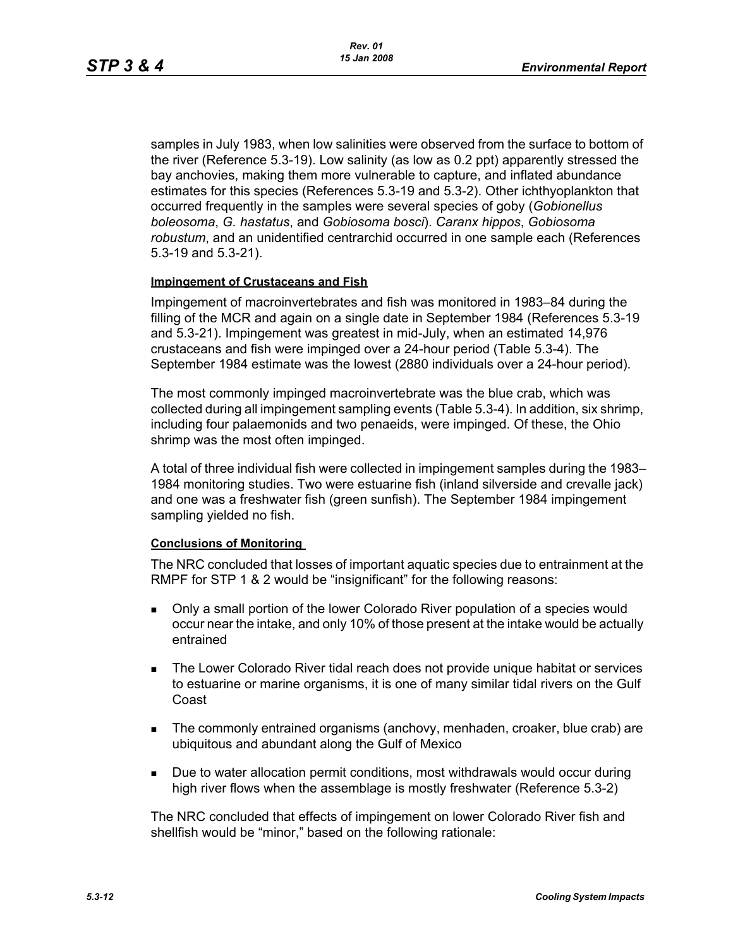samples in July 1983, when low salinities were observed from the surface to bottom of the river (Reference 5.3-19). Low salinity (as low as 0.2 ppt) apparently stressed the bay anchovies, making them more vulnerable to capture, and inflated abundance estimates for this species (References 5.3-19 and 5.3-2). Other ichthyoplankton that occurred frequently in the samples were several species of goby (*Gobionellus boleosoma*, *G. hastatus*, and *Gobiosoma bosci*). *Caranx hippos*, *Gobiosoma robustum*, and an unidentified centrarchid occurred in one sample each (References 5.3-19 and 5.3-21).

#### **Impingement of Crustaceans and Fish**

Impingement of macroinvertebrates and fish was monitored in 1983–84 during the filling of the MCR and again on a single date in September 1984 (References 5.3-19 and 5.3-21). Impingement was greatest in mid-July, when an estimated 14,976 crustaceans and fish were impinged over a 24-hour period (Table 5.3-4). The September 1984 estimate was the lowest (2880 individuals over a 24-hour period).

The most commonly impinged macroinvertebrate was the blue crab, which was collected during all impingement sampling events (Table 5.3-4). In addition, six shrimp, including four palaemonids and two penaeids, were impinged. Of these, the Ohio shrimp was the most often impinged.

A total of three individual fish were collected in impingement samples during the 1983– 1984 monitoring studies. Two were estuarine fish (inland silverside and crevalle jack) and one was a freshwater fish (green sunfish). The September 1984 impingement sampling yielded no fish.

#### **Conclusions of Monitoring**

The NRC concluded that losses of important aquatic species due to entrainment at the RMPF for STP 1 & 2 would be "insignificant" for the following reasons:

- Only a small portion of the lower Colorado River population of a species would occur near the intake, and only 10% of those present at the intake would be actually entrained
- **The Lower Colorado River tidal reach does not provide unique habitat or services** to estuarine or marine organisms, it is one of many similar tidal rivers on the Gulf Coast
- The commonly entrained organisms (anchovy, menhaden, croaker, blue crab) are ubiquitous and abundant along the Gulf of Mexico
- **Due to water allocation permit conditions, most withdrawals would occur during** high river flows when the assemblage is mostly freshwater (Reference 5.3-2)

The NRC concluded that effects of impingement on lower Colorado River fish and shellfish would be "minor," based on the following rationale: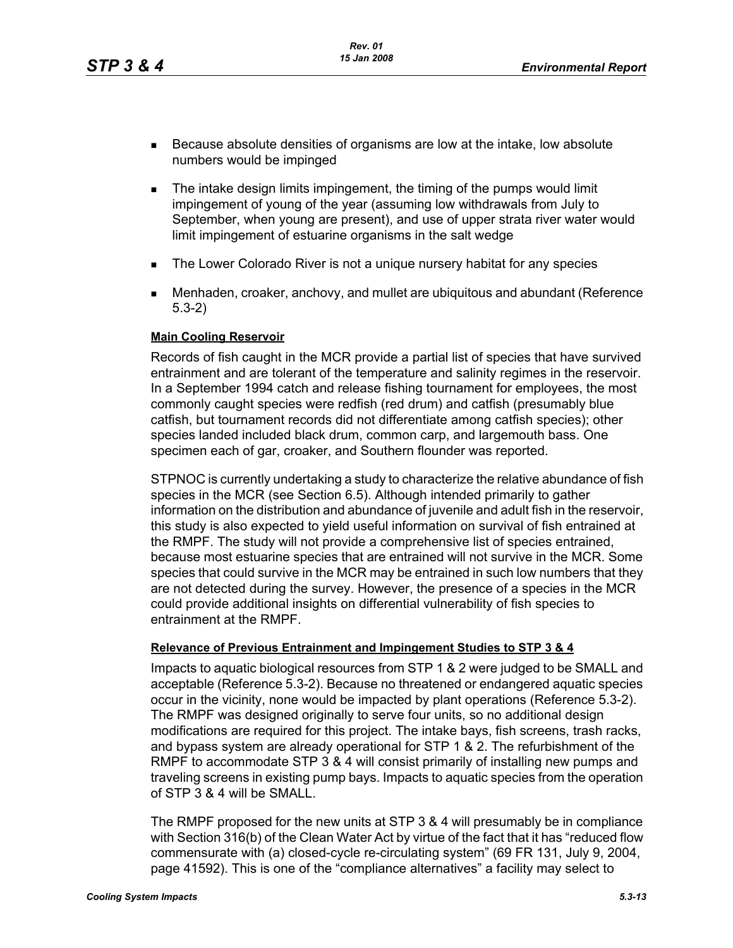- Because absolute densities of organisms are low at the intake, low absolute numbers would be impinged
- **The intake design limits impingement, the timing of the pumps would limit** impingement of young of the year (assuming low withdrawals from July to September, when young are present), and use of upper strata river water would limit impingement of estuarine organisms in the salt wedge
- **The Lower Colorado River is not a unique nursery habitat for any species**
- Menhaden, croaker, anchovy, and mullet are ubiquitous and abundant (Reference 5.3-2)

#### **Main Cooling Reservoir**

Records of fish caught in the MCR provide a partial list of species that have survived entrainment and are tolerant of the temperature and salinity regimes in the reservoir. In a September 1994 catch and release fishing tournament for employees, the most commonly caught species were redfish (red drum) and catfish (presumably blue catfish, but tournament records did not differentiate among catfish species); other species landed included black drum, common carp, and largemouth bass. One specimen each of gar, croaker, and Southern flounder was reported.

STPNOC is currently undertaking a study to characterize the relative abundance of fish species in the MCR (see Section 6.5). Although intended primarily to gather information on the distribution and abundance of juvenile and adult fish in the reservoir, this study is also expected to yield useful information on survival of fish entrained at the RMPF. The study will not provide a comprehensive list of species entrained, because most estuarine species that are entrained will not survive in the MCR. Some species that could survive in the MCR may be entrained in such low numbers that they are not detected during the survey. However, the presence of a species in the MCR could provide additional insights on differential vulnerability of fish species to entrainment at the RMPF.

#### **Relevance of Previous Entrainment and Impingement Studies to STP 3 & 4**

Impacts to aquatic biological resources from STP 1 & 2 were judged to be SMALL and acceptable (Reference 5.3-2). Because no threatened or endangered aquatic species occur in the vicinity, none would be impacted by plant operations (Reference 5.3-2). The RMPF was designed originally to serve four units, so no additional design modifications are required for this project. The intake bays, fish screens, trash racks, and bypass system are already operational for STP 1 & 2. The refurbishment of the RMPF to accommodate STP 3 & 4 will consist primarily of installing new pumps and traveling screens in existing pump bays. Impacts to aquatic species from the operation of STP 3 & 4 will be SMALL.

The RMPF proposed for the new units at STP 3 & 4 will presumably be in compliance with Section 316(b) of the Clean Water Act by virtue of the fact that it has "reduced flow commensurate with (a) closed-cycle re-circulating system" (69 FR 131, July 9, 2004, page 41592). This is one of the "compliance alternatives" a facility may select to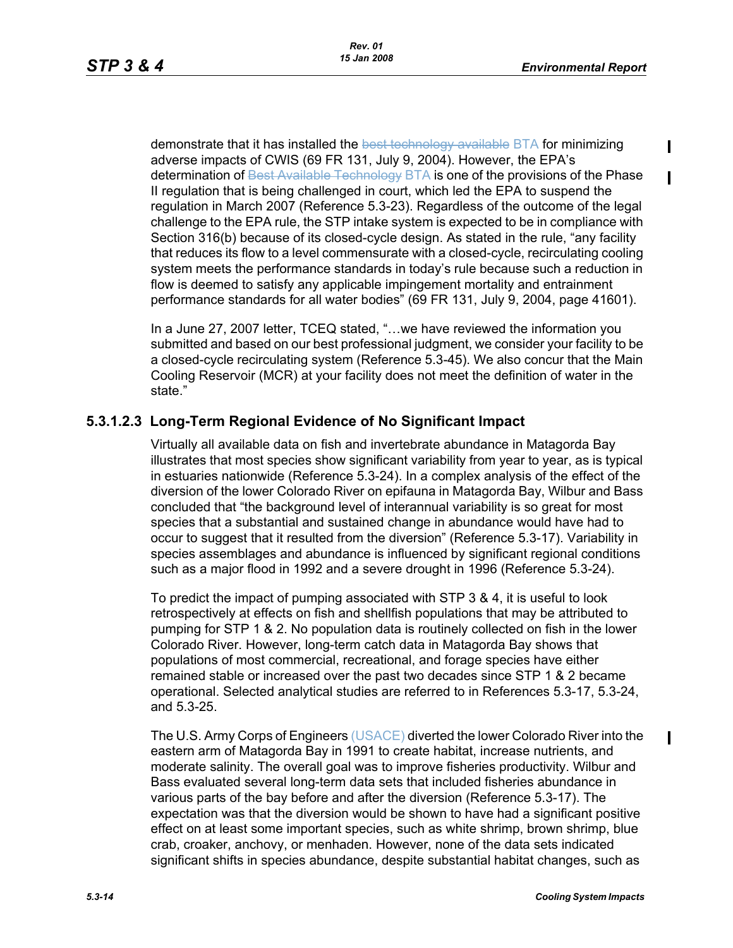$\mathbf I$ 

demonstrate that it has installed the best technology available BTA for minimizing adverse impacts of CWIS (69 FR 131, July 9, 2004). However, the EPA's determination of Best Available Technology BTA is one of the provisions of the Phase II regulation that is being challenged in court, which led the EPA to suspend the regulation in March 2007 (Reference 5.3-23). Regardless of the outcome of the legal challenge to the EPA rule, the STP intake system is expected to be in compliance with Section 316(b) because of its closed-cycle design. As stated in the rule, "any facility that reduces its flow to a level commensurate with a closed-cycle, recirculating cooling system meets the performance standards in today's rule because such a reduction in flow is deemed to satisfy any applicable impingement mortality and entrainment performance standards for all water bodies" (69 FR 131, July 9, 2004, page 41601).

In a June 27, 2007 letter, TCEQ stated, "…we have reviewed the information you submitted and based on our best professional judgment, we consider your facility to be a closed-cycle recirculating system (Reference 5.3-45). We also concur that the Main Cooling Reservoir (MCR) at your facility does not meet the definition of water in the state."

# **5.3.1.2.3 Long-Term Regional Evidence of No Significant Impact**

Virtually all available data on fish and invertebrate abundance in Matagorda Bay illustrates that most species show significant variability from year to year, as is typical in estuaries nationwide (Reference 5.3-24). In a complex analysis of the effect of the diversion of the lower Colorado River on epifauna in Matagorda Bay, Wilbur and Bass concluded that "the background level of interannual variability is so great for most species that a substantial and sustained change in abundance would have had to occur to suggest that it resulted from the diversion" (Reference 5.3-17). Variability in species assemblages and abundance is influenced by significant regional conditions such as a major flood in 1992 and a severe drought in 1996 (Reference 5.3-24).

To predict the impact of pumping associated with STP 3 & 4, it is useful to look retrospectively at effects on fish and shellfish populations that may be attributed to pumping for STP 1 & 2. No population data is routinely collected on fish in the lower Colorado River. However, long-term catch data in Matagorda Bay shows that populations of most commercial, recreational, and forage species have either remained stable or increased over the past two decades since STP 1 & 2 became operational. Selected analytical studies are referred to in References 5.3-17, 5.3-24, and 5.3-25.

The U.S. Army Corps of Engineers (USACE) diverted the lower Colorado River into the eastern arm of Matagorda Bay in 1991 to create habitat, increase nutrients, and moderate salinity. The overall goal was to improve fisheries productivity. Wilbur and Bass evaluated several long-term data sets that included fisheries abundance in various parts of the bay before and after the diversion (Reference 5.3-17). The expectation was that the diversion would be shown to have had a significant positive effect on at least some important species, such as white shrimp, brown shrimp, blue crab, croaker, anchovy, or menhaden. However, none of the data sets indicated significant shifts in species abundance, despite substantial habitat changes, such as

 $\blacksquare$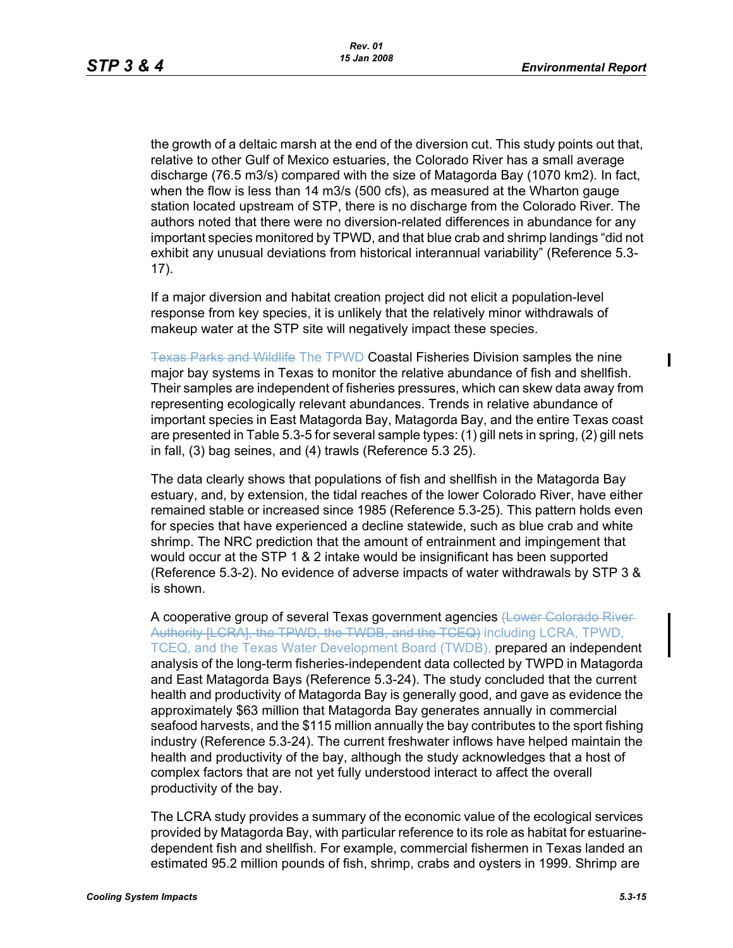$\mathbf I$ 

the growth of a deltaic marsh at the end of the diversion cut. This study points out that, relative to other Gulf of Mexico estuaries, the Colorado River has a small average discharge (76.5 m3/s) compared with the size of Matagorda Bay (1070 km2). In fact, when the flow is less than 14 m3/s (500 cfs), as measured at the Wharton gauge station located upstream of STP, there is no discharge from the Colorado River. The authors noted that there were no diversion-related differences in abundance for any important species monitored by TPWD, and that blue crab and shrimp landings "did not exhibit any unusual deviations from historical interannual variability" (Reference 5.3- 17).

If a major diversion and habitat creation project did not elicit a population-level response from key species, it is unlikely that the relatively minor withdrawals of makeup water at the STP site will negatively impact these species.

Texas Parks and Wildlife The TPWD Coastal Fisheries Division samples the nine major bay systems in Texas to monitor the relative abundance of fish and shellfish. Their samples are independent of fisheries pressures, which can skew data away from representing ecologically relevant abundances. Trends in relative abundance of important species in East Matagorda Bay, Matagorda Bay, and the entire Texas coast are presented in Table 5.3-5 for several sample types: (1) gill nets in spring, (2) gill nets in fall, (3) bag seines, and (4) trawls (Reference 5.3 25).

The data clearly shows that populations of fish and shellfish in the Matagorda Bay estuary, and, by extension, the tidal reaches of the lower Colorado River, have either remained stable or increased since 1985 (Reference 5.3-25). This pattern holds even for species that have experienced a decline statewide, such as blue crab and white shrimp. The NRC prediction that the amount of entrainment and impingement that would occur at the STP 1 & 2 intake would be insignificant has been supported (Reference 5.3-2). No evidence of adverse impacts of water withdrawals by STP 3 & is shown.

A cooperative group of several Texas government agencies (Lower Colorado River Authority [LCRA], the TPWD, the TWDB, and the TCEQ) including LCRA, TPWD, TCEQ, and the Texas Water Development Board (TWDB), prepared an independent analysis of the long-term fisheries-independent data collected by TWPD in Matagorda and East Matagorda Bays (Reference 5.3-24). The study concluded that the current health and productivity of Matagorda Bay is generally good, and gave as evidence the approximately \$63 million that Matagorda Bay generates annually in commercial seafood harvests, and the \$115 million annually the bay contributes to the sport fishing industry (Reference 5.3-24). The current freshwater inflows have helped maintain the health and productivity of the bay, although the study acknowledges that a host of complex factors that are not yet fully understood interact to affect the overall productivity of the bay.

The LCRA study provides a summary of the economic value of the ecological services provided by Matagorda Bay, with particular reference to its role as habitat for estuarinedependent fish and shellfish. For example, commercial fishermen in Texas landed an estimated 95.2 million pounds of fish, shrimp, crabs and oysters in 1999. Shrimp are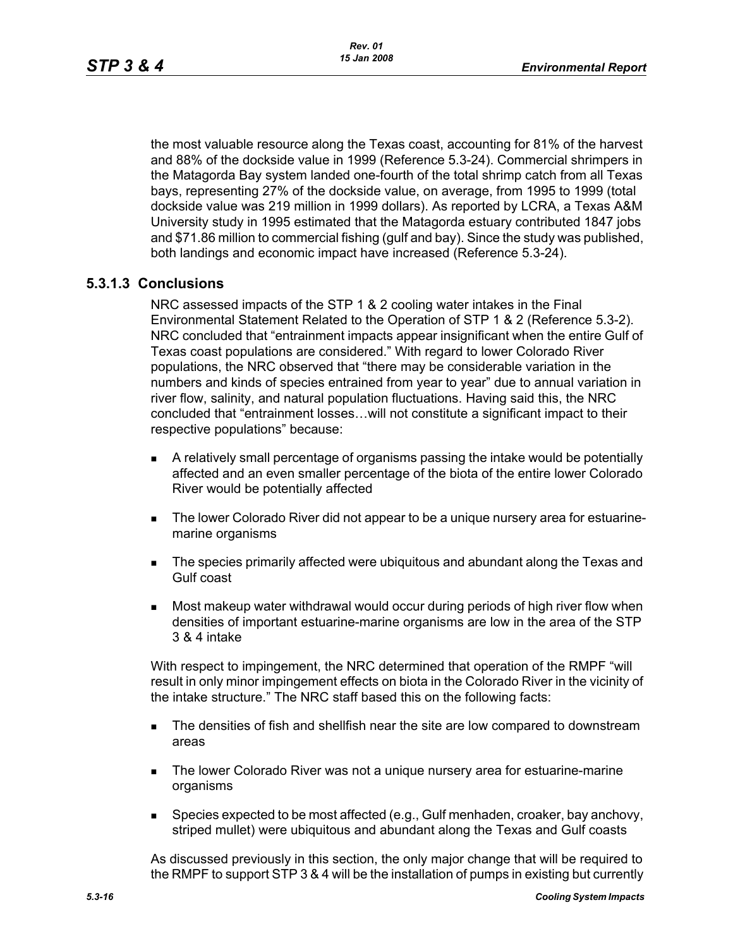the most valuable resource along the Texas coast, accounting for 81% of the harvest and 88% of the dockside value in 1999 (Reference 5.3-24). Commercial shrimpers in the Matagorda Bay system landed one-fourth of the total shrimp catch from all Texas bays, representing 27% of the dockside value, on average, from 1995 to 1999 (total dockside value was 219 million in 1999 dollars). As reported by LCRA, a Texas A&M University study in 1995 estimated that the Matagorda estuary contributed 1847 jobs and \$71.86 million to commercial fishing (gulf and bay). Since the study was published, both landings and economic impact have increased (Reference 5.3-24).

# **5.3.1.3 Conclusions**

NRC assessed impacts of the STP 1 & 2 cooling water intakes in the Final Environmental Statement Related to the Operation of STP 1 & 2 (Reference 5.3-2). NRC concluded that "entrainment impacts appear insignificant when the entire Gulf of Texas coast populations are considered." With regard to lower Colorado River populations, the NRC observed that "there may be considerable variation in the numbers and kinds of species entrained from year to year" due to annual variation in river flow, salinity, and natural population fluctuations. Having said this, the NRC concluded that "entrainment losses…will not constitute a significant impact to their respective populations" because:

- A relatively small percentage of organisms passing the intake would be potentially affected and an even smaller percentage of the biota of the entire lower Colorado River would be potentially affected
- The lower Colorado River did not appear to be a unique nursery area for estuarinemarine organisms
- **The species primarily affected were ubiquitous and abundant along the Texas and** Gulf coast
- Most makeup water withdrawal would occur during periods of high river flow when densities of important estuarine-marine organisms are low in the area of the STP 3 & 4 intake

With respect to impingement, the NRC determined that operation of the RMPF "will result in only minor impingement effects on biota in the Colorado River in the vicinity of the intake structure." The NRC staff based this on the following facts:

- **The densities of fish and shellfish near the site are low compared to downstream** areas
- **The lower Colorado River was not a unique nursery area for estuarine-marine** organisms
- **Species expected to be most affected (e.g., Gulf menhaden, croaker, bay anchovy,** striped mullet) were ubiquitous and abundant along the Texas and Gulf coasts

As discussed previously in this section, the only major change that will be required to the RMPF to support STP 3 & 4 will be the installation of pumps in existing but currently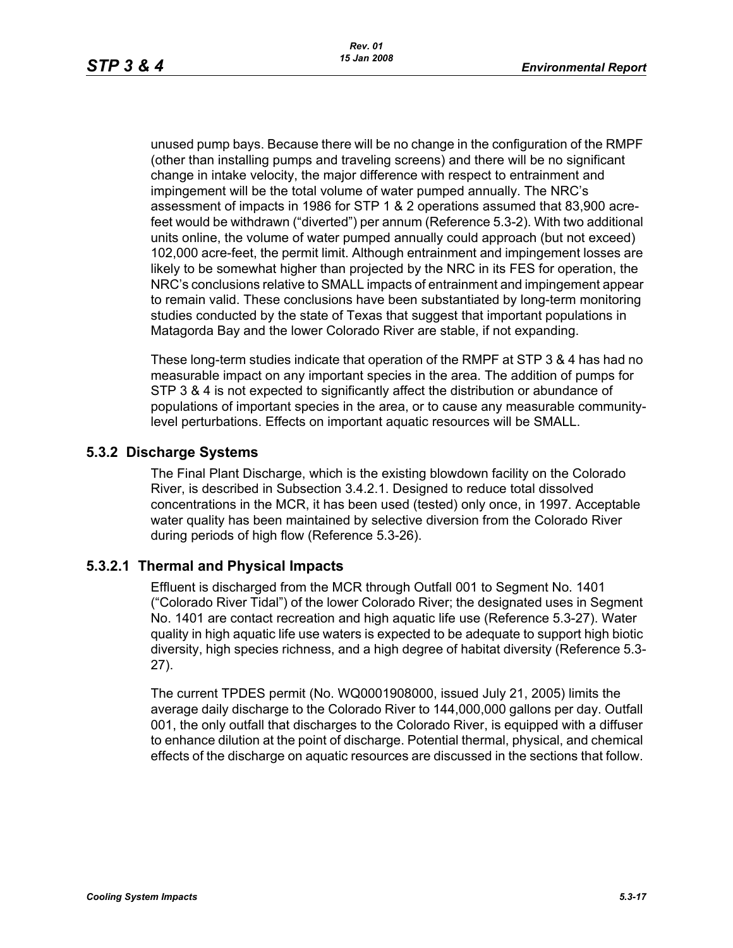unused pump bays. Because there will be no change in the configuration of the RMPF (other than installing pumps and traveling screens) and there will be no significant change in intake velocity, the major difference with respect to entrainment and impingement will be the total volume of water pumped annually. The NRC's assessment of impacts in 1986 for STP 1 & 2 operations assumed that 83,900 acrefeet would be withdrawn ("diverted") per annum (Reference 5.3-2). With two additional units online, the volume of water pumped annually could approach (but not exceed) 102,000 acre-feet, the permit limit. Although entrainment and impingement losses are likely to be somewhat higher than projected by the NRC in its FES for operation, the NRC's conclusions relative to SMALL impacts of entrainment and impingement appear to remain valid. These conclusions have been substantiated by long-term monitoring studies conducted by the state of Texas that suggest that important populations in Matagorda Bay and the lower Colorado River are stable, if not expanding.

These long-term studies indicate that operation of the RMPF at STP 3 & 4 has had no measurable impact on any important species in the area. The addition of pumps for STP 3 & 4 is not expected to significantly affect the distribution or abundance of populations of important species in the area, or to cause any measurable communitylevel perturbations. Effects on important aquatic resources will be SMALL.

# **5.3.2 Discharge Systems**

The Final Plant Discharge, which is the existing blowdown facility on the Colorado River, is described in Subsection 3.4.2.1. Designed to reduce total dissolved concentrations in the MCR, it has been used (tested) only once, in 1997. Acceptable water quality has been maintained by selective diversion from the Colorado River during periods of high flow (Reference 5.3-26).

# **5.3.2.1 Thermal and Physical Impacts**

Effluent is discharged from the MCR through Outfall 001 to Segment No. 1401 ("Colorado River Tidal") of the lower Colorado River; the designated uses in Segment No. 1401 are contact recreation and high aquatic life use (Reference 5.3-27). Water quality in high aquatic life use waters is expected to be adequate to support high biotic diversity, high species richness, and a high degree of habitat diversity (Reference 5.3- 27).

The current TPDES permit (No. WQ0001908000, issued July 21, 2005) limits the average daily discharge to the Colorado River to 144,000,000 gallons per day. Outfall 001, the only outfall that discharges to the Colorado River, is equipped with a diffuser to enhance dilution at the point of discharge. Potential thermal, physical, and chemical effects of the discharge on aquatic resources are discussed in the sections that follow.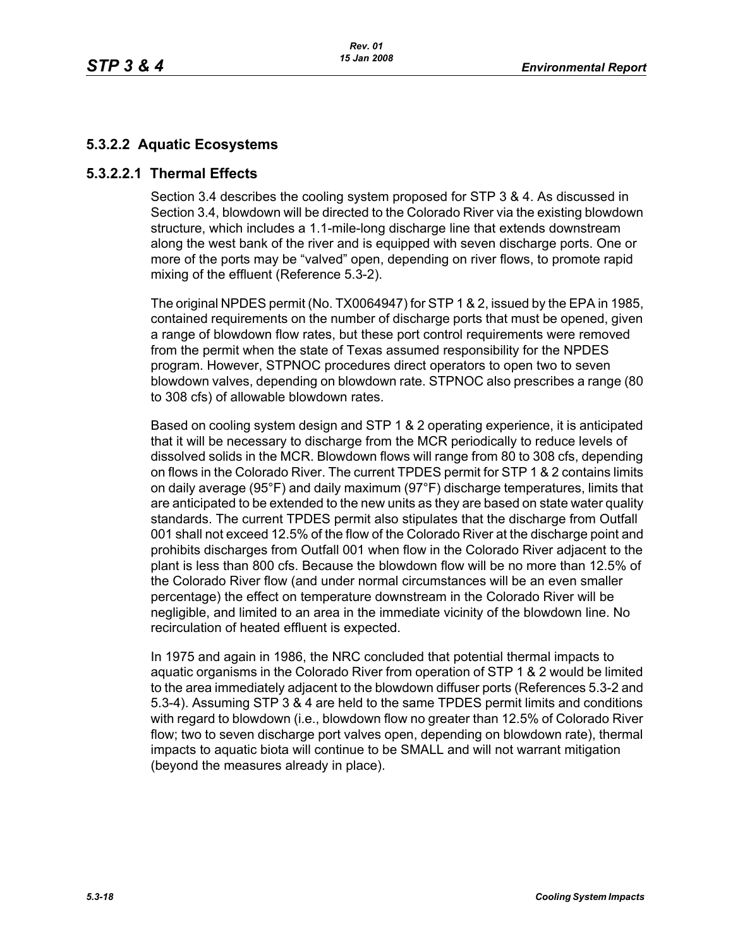# **5.3.2.2 Aquatic Ecosystems**

# **5.3.2.2.1 Thermal Effects**

Section 3.4 describes the cooling system proposed for STP 3 & 4. As discussed in Section 3.4, blowdown will be directed to the Colorado River via the existing blowdown structure, which includes a 1.1-mile-long discharge line that extends downstream along the west bank of the river and is equipped with seven discharge ports. One or more of the ports may be "valved" open, depending on river flows, to promote rapid mixing of the effluent (Reference 5.3-2).

The original NPDES permit (No. TX0064947) for STP 1 & 2, issued by the EPA in 1985, contained requirements on the number of discharge ports that must be opened, given a range of blowdown flow rates, but these port control requirements were removed from the permit when the state of Texas assumed responsibility for the NPDES program. However, STPNOC procedures direct operators to open two to seven blowdown valves, depending on blowdown rate. STPNOC also prescribes a range (80 to 308 cfs) of allowable blowdown rates.

Based on cooling system design and STP 1 & 2 operating experience, it is anticipated that it will be necessary to discharge from the MCR periodically to reduce levels of dissolved solids in the MCR. Blowdown flows will range from 80 to 308 cfs, depending on flows in the Colorado River. The current TPDES permit for STP 1 & 2 contains limits on daily average (95°F) and daily maximum (97°F) discharge temperatures, limits that are anticipated to be extended to the new units as they are based on state water quality standards. The current TPDES permit also stipulates that the discharge from Outfall 001 shall not exceed 12.5% of the flow of the Colorado River at the discharge point and prohibits discharges from Outfall 001 when flow in the Colorado River adjacent to the plant is less than 800 cfs. Because the blowdown flow will be no more than 12.5% of the Colorado River flow (and under normal circumstances will be an even smaller percentage) the effect on temperature downstream in the Colorado River will be negligible, and limited to an area in the immediate vicinity of the blowdown line. No recirculation of heated effluent is expected.

In 1975 and again in 1986, the NRC concluded that potential thermal impacts to aquatic organisms in the Colorado River from operation of STP 1 & 2 would be limited to the area immediately adjacent to the blowdown diffuser ports (References 5.3-2 and 5.3-4). Assuming STP 3 & 4 are held to the same TPDES permit limits and conditions with regard to blowdown (i.e., blowdown flow no greater than 12.5% of Colorado River flow; two to seven discharge port valves open, depending on blowdown rate), thermal impacts to aquatic biota will continue to be SMALL and will not warrant mitigation (beyond the measures already in place).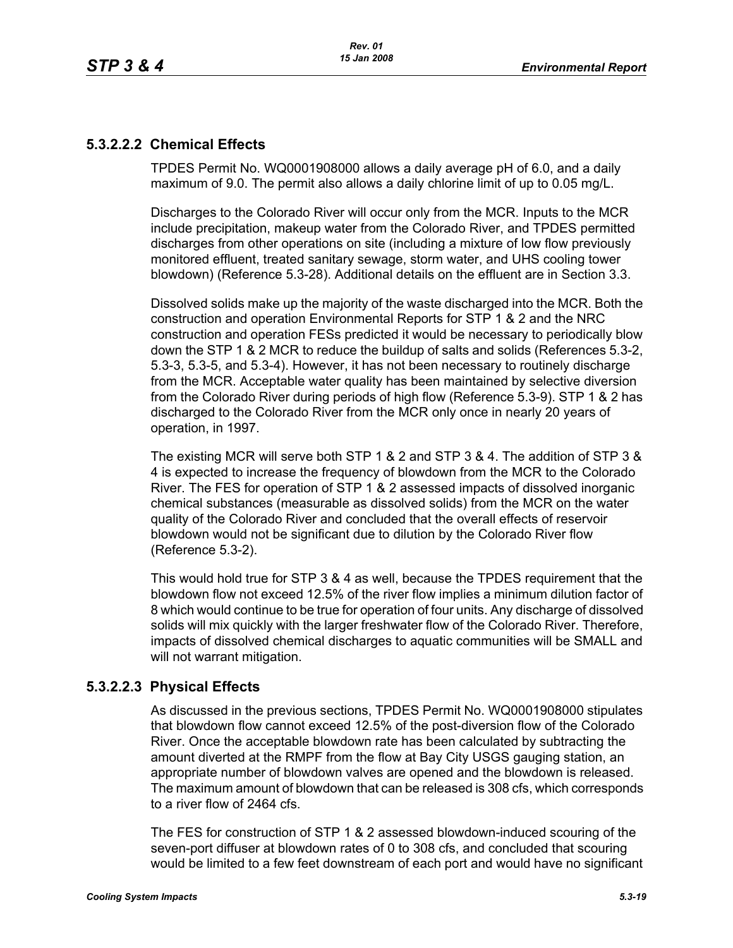# **5.3.2.2.2 Chemical Effects**

TPDES Permit No. WQ0001908000 allows a daily average pH of 6.0, and a daily maximum of 9.0. The permit also allows a daily chlorine limit of up to 0.05 mg/L.

Discharges to the Colorado River will occur only from the MCR. Inputs to the MCR include precipitation, makeup water from the Colorado River, and TPDES permitted discharges from other operations on site (including a mixture of low flow previously monitored effluent, treated sanitary sewage, storm water, and UHS cooling tower blowdown) (Reference 5.3-28). Additional details on the effluent are in Section 3.3.

Dissolved solids make up the majority of the waste discharged into the MCR. Both the construction and operation Environmental Reports for STP 1 & 2 and the NRC construction and operation FESs predicted it would be necessary to periodically blow down the STP 1 & 2 MCR to reduce the buildup of salts and solids (References 5.3-2, 5.3-3, 5.3-5, and 5.3-4). However, it has not been necessary to routinely discharge from the MCR. Acceptable water quality has been maintained by selective diversion from the Colorado River during periods of high flow (Reference 5.3-9). STP 1 & 2 has discharged to the Colorado River from the MCR only once in nearly 20 years of operation, in 1997.

The existing MCR will serve both STP 1 & 2 and STP 3 & 4. The addition of STP 3 & 4 is expected to increase the frequency of blowdown from the MCR to the Colorado River. The FES for operation of STP 1 & 2 assessed impacts of dissolved inorganic chemical substances (measurable as dissolved solids) from the MCR on the water quality of the Colorado River and concluded that the overall effects of reservoir blowdown would not be significant due to dilution by the Colorado River flow (Reference 5.3-2).

This would hold true for STP 3 & 4 as well, because the TPDES requirement that the blowdown flow not exceed 12.5% of the river flow implies a minimum dilution factor of 8 which would continue to be true for operation of four units. Any discharge of dissolved solids will mix quickly with the larger freshwater flow of the Colorado River. Therefore, impacts of dissolved chemical discharges to aquatic communities will be SMALL and will not warrant mitigation.

# **5.3.2.2.3 Physical Effects**

As discussed in the previous sections, TPDES Permit No. WQ0001908000 stipulates that blowdown flow cannot exceed 12.5% of the post-diversion flow of the Colorado River. Once the acceptable blowdown rate has been calculated by subtracting the amount diverted at the RMPF from the flow at Bay City USGS gauging station, an appropriate number of blowdown valves are opened and the blowdown is released. The maximum amount of blowdown that can be released is 308 cfs, which corresponds to a river flow of 2464 cfs.

The FES for construction of STP 1 & 2 assessed blowdown-induced scouring of the seven-port diffuser at blowdown rates of 0 to 308 cfs, and concluded that scouring would be limited to a few feet downstream of each port and would have no significant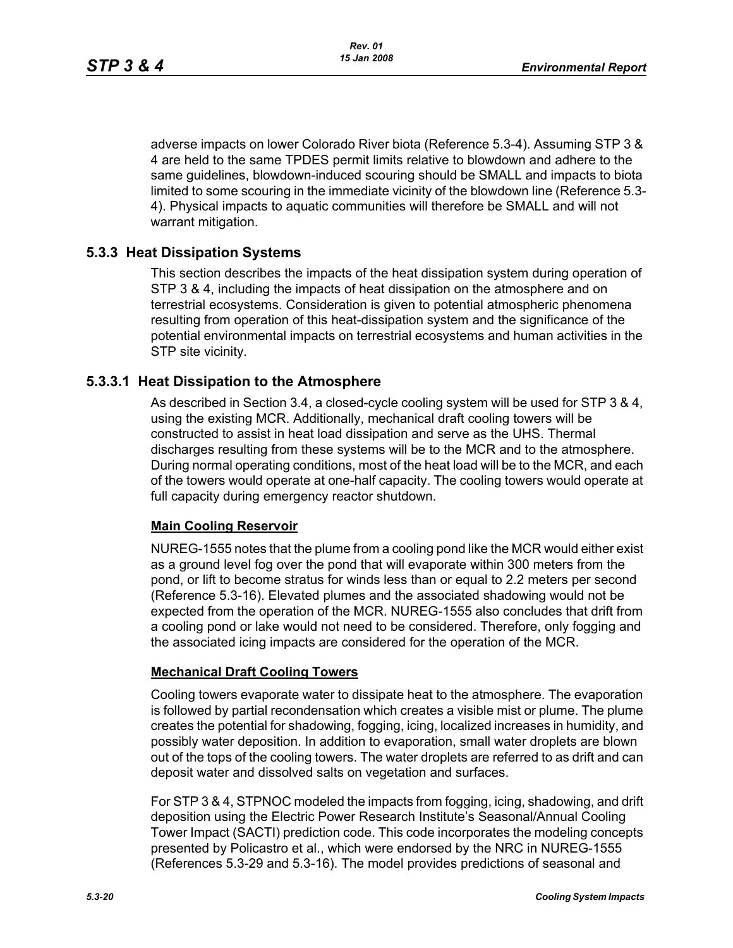adverse impacts on lower Colorado River biota (Reference 5.3-4). Assuming STP 3 & 4 are held to the same TPDES permit limits relative to blowdown and adhere to the same guidelines, blowdown-induced scouring should be SMALL and impacts to biota limited to some scouring in the immediate vicinity of the blowdown line (Reference 5.3- 4). Physical impacts to aquatic communities will therefore be SMALL and will not warrant mitigation.

# **5.3.3 Heat Dissipation Systems**

This section describes the impacts of the heat dissipation system during operation of STP 3 & 4, including the impacts of heat dissipation on the atmosphere and on terrestrial ecosystems. Consideration is given to potential atmospheric phenomena resulting from operation of this heat-dissipation system and the significance of the potential environmental impacts on terrestrial ecosystems and human activities in the STP site vicinity.

# **5.3.3.1 Heat Dissipation to the Atmosphere**

As described in Section 3.4, a closed-cycle cooling system will be used for STP 3 & 4, using the existing MCR. Additionally, mechanical draft cooling towers will be constructed to assist in heat load dissipation and serve as the UHS. Thermal discharges resulting from these systems will be to the MCR and to the atmosphere. During normal operating conditions, most of the heat load will be to the MCR, and each of the towers would operate at one-half capacity. The cooling towers would operate at full capacity during emergency reactor shutdown.

## **Main Cooling Reservoir**

NUREG-1555 notes that the plume from a cooling pond like the MCR would either exist as a ground level fog over the pond that will evaporate within 300 meters from the pond, or lift to become stratus for winds less than or equal to 2.2 meters per second (Reference 5.3-16). Elevated plumes and the associated shadowing would not be expected from the operation of the MCR. NUREG-1555 also concludes that drift from a cooling pond or lake would not need to be considered. Therefore, only fogging and the associated icing impacts are considered for the operation of the MCR.

## **Mechanical Draft Cooling Towers**

Cooling towers evaporate water to dissipate heat to the atmosphere. The evaporation is followed by partial recondensation which creates a visible mist or plume. The plume creates the potential for shadowing, fogging, icing, localized increases in humidity, and possibly water deposition. In addition to evaporation, small water droplets are blown out of the tops of the cooling towers. The water droplets are referred to as drift and can deposit water and dissolved salts on vegetation and surfaces.

For STP 3 & 4, STPNOC modeled the impacts from fogging, icing, shadowing, and drift deposition using the Electric Power Research Institute's Seasonal/Annual Cooling Tower Impact (SACTI) prediction code. This code incorporates the modeling concepts presented by Policastro et al., which were endorsed by the NRC in NUREG-1555 (References 5.3-29 and 5.3-16). The model provides predictions of seasonal and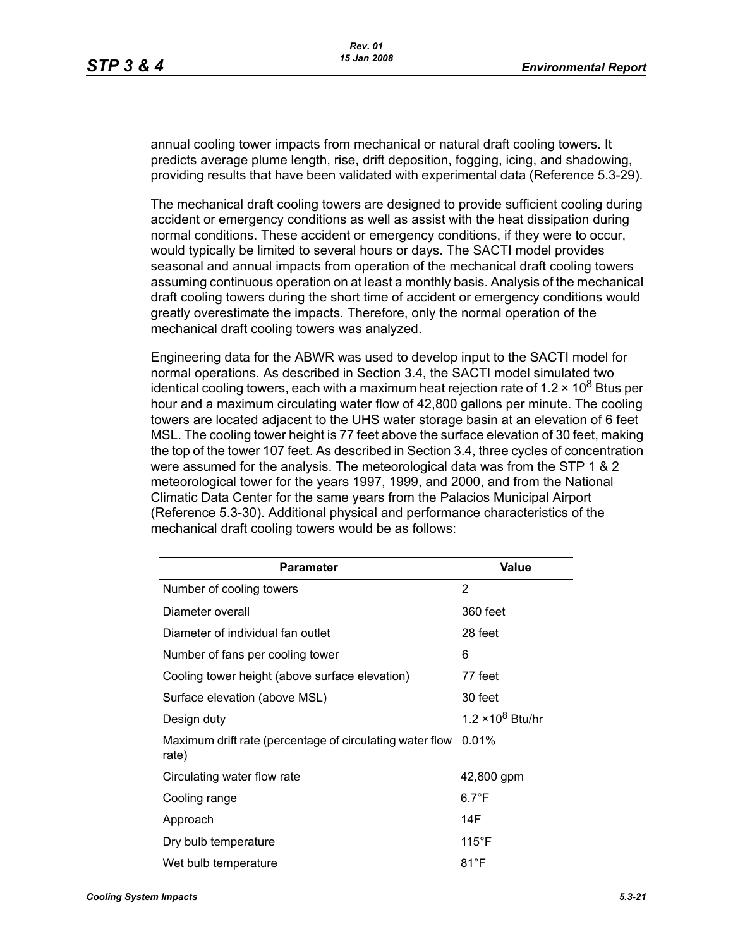annual cooling tower impacts from mechanical or natural draft cooling towers. It predicts average plume length, rise, drift deposition, fogging, icing, and shadowing, providing results that have been validated with experimental data (Reference 5.3-29).

The mechanical draft cooling towers are designed to provide sufficient cooling during accident or emergency conditions as well as assist with the heat dissipation during normal conditions. These accident or emergency conditions, if they were to occur, would typically be limited to several hours or days. The SACTI model provides seasonal and annual impacts from operation of the mechanical draft cooling towers assuming continuous operation on at least a monthly basis. Analysis of the mechanical draft cooling towers during the short time of accident or emergency conditions would greatly overestimate the impacts. Therefore, only the normal operation of the mechanical draft cooling towers was analyzed.

Engineering data for the ABWR was used to develop input to the SACTI model for normal operations. As described in Section 3.4, the SACTI model simulated two identical cooling towers, each with a maximum heat rejection rate of 1.2  $\times$  10<sup>8</sup> Btus per hour and a maximum circulating water flow of 42,800 gallons per minute. The cooling towers are located adjacent to the UHS water storage basin at an elevation of 6 feet MSL. The cooling tower height is 77 feet above the surface elevation of 30 feet, making the top of the tower 107 feet. As described in Section 3.4, three cycles of concentration were assumed for the analysis. The meteorological data was from the STP 1 & 2 meteorological tower for the years 1997, 1999, and 2000, and from the National Climatic Data Center for the same years from the Palacios Municipal Airport (Reference 5.3-30). Additional physical and performance characteristics of the mechanical draft cooling towers would be as follows:

| Parameter                                                         | Value                               |  |
|-------------------------------------------------------------------|-------------------------------------|--|
| Number of cooling towers                                          | 2                                   |  |
| Diameter overall                                                  | 360 feet                            |  |
| Diameter of individual fan outlet                                 | 28 feet                             |  |
| Number of fans per cooling tower                                  | 6                                   |  |
| Cooling tower height (above surface elevation)                    | 77 feet                             |  |
| Surface elevation (above MSL)                                     | 30 feet                             |  |
| Design duty                                                       | 1.2 $\times$ 10 <sup>8</sup> Btu/hr |  |
| Maximum drift rate (percentage of circulating water flow<br>rate) | 0.01%                               |  |
| Circulating water flow rate                                       | 42,800 gpm                          |  |
| Cooling range                                                     | $6.7^{\circ}F$                      |  |
| Approach                                                          | 14F                                 |  |
| Dry bulb temperature                                              | $115^{\circ}$ F                     |  |
| Wet bulb temperature                                              | $81^\circ$ F                        |  |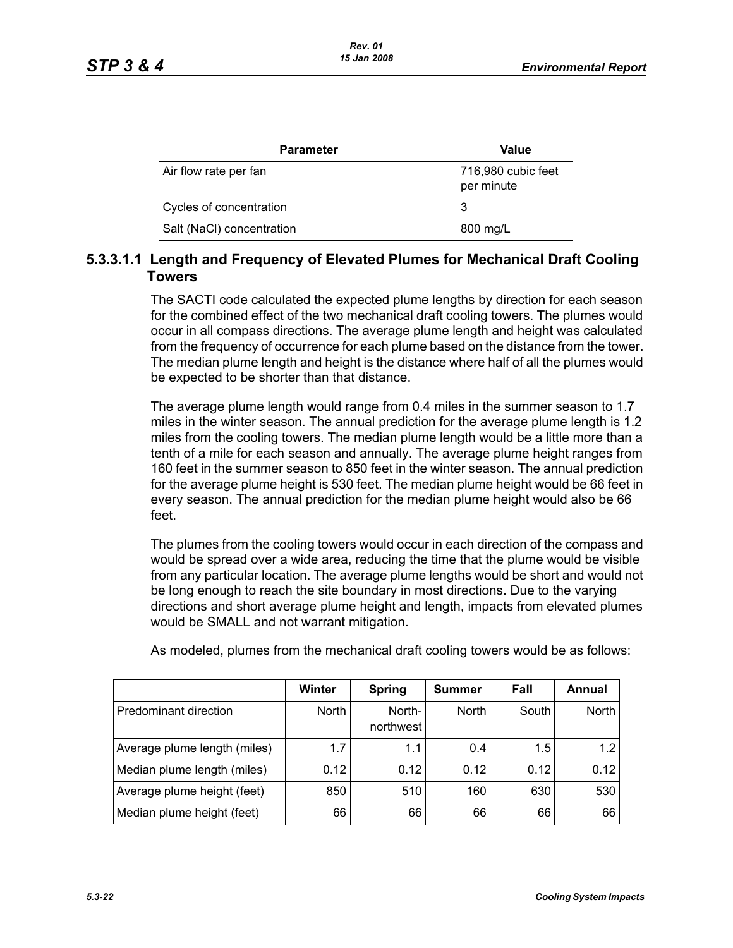| <b>Parameter</b>          | Value                            |
|---------------------------|----------------------------------|
| Air flow rate per fan     | 716,980 cubic feet<br>per minute |
| Cycles of concentration   | 3                                |
| Salt (NaCl) concentration | 800 mg/L                         |

# **5.3.3.1.1 Length and Frequency of Elevated Plumes for Mechanical Draft Cooling Towers**

The SACTI code calculated the expected plume lengths by direction for each season for the combined effect of the two mechanical draft cooling towers. The plumes would occur in all compass directions. The average plume length and height was calculated from the frequency of occurrence for each plume based on the distance from the tower. The median plume length and height is the distance where half of all the plumes would be expected to be shorter than that distance.

The average plume length would range from 0.4 miles in the summer season to 1.7 miles in the winter season. The annual prediction for the average plume length is 1.2 miles from the cooling towers. The median plume length would be a little more than a tenth of a mile for each season and annually. The average plume height ranges from 160 feet in the summer season to 850 feet in the winter season. The annual prediction for the average plume height is 530 feet. The median plume height would be 66 feet in every season. The annual prediction for the median plume height would also be 66 feet.

The plumes from the cooling towers would occur in each direction of the compass and would be spread over a wide area, reducing the time that the plume would be visible from any particular location. The average plume lengths would be short and would not be long enough to reach the site boundary in most directions. Due to the varying directions and short average plume height and length, impacts from elevated plumes would be SMALL and not warrant mitigation.

|                              | Winter       | <b>Spring</b>       | <b>Summer</b> | Fall          | Annual       |
|------------------------------|--------------|---------------------|---------------|---------------|--------------|
| Predominant direction        | <b>North</b> | North-<br>northwest | <b>North</b>  | South         | <b>North</b> |
| Average plume length (miles) | 1.7          | 1.1                 | 0.4           | $1.5^{\circ}$ | 1.2          |
| Median plume length (miles)  | 0.12         | 0.12                | 0.12          | 0.12          | 0.12         |
| Average plume height (feet)  | 850          | 510                 | 160           | 630           | 530          |
| Median plume height (feet)   | 66           | 66                  | 66            | 66            | 66           |

As modeled, plumes from the mechanical draft cooling towers would be as follows: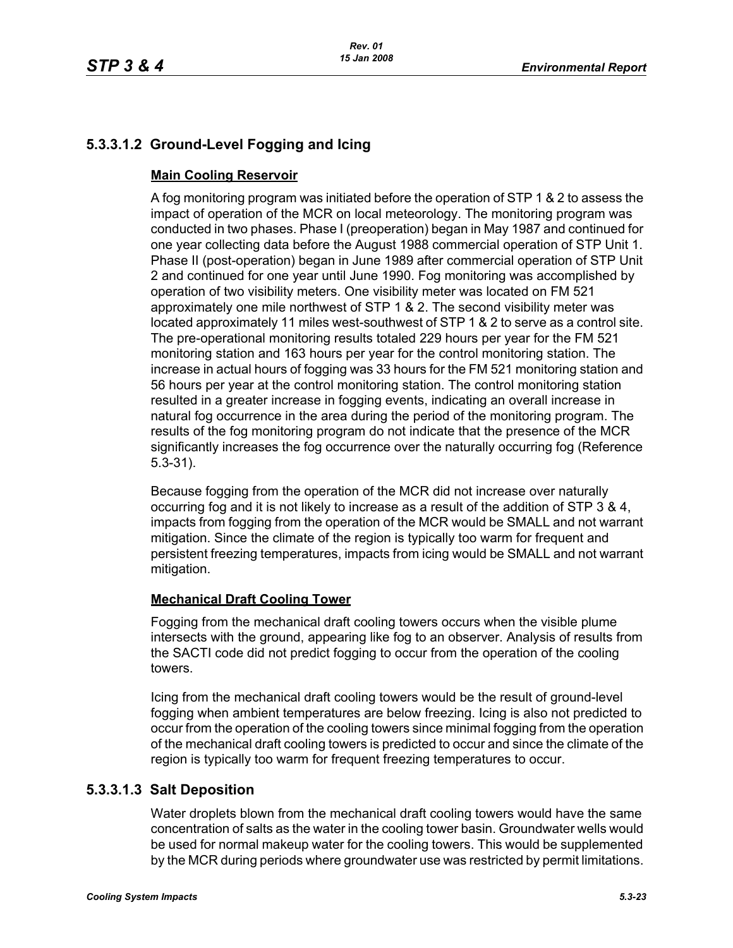# **5.3.3.1.2 Ground-Level Fogging and Icing**

# **Main Cooling Reservoir**

A fog monitoring program was initiated before the operation of STP 1 & 2 to assess the impact of operation of the MCR on local meteorology. The monitoring program was conducted in two phases. Phase I (preoperation) began in May 1987 and continued for one year collecting data before the August 1988 commercial operation of STP Unit 1. Phase II (post-operation) began in June 1989 after commercial operation of STP Unit 2 and continued for one year until June 1990. Fog monitoring was accomplished by operation of two visibility meters. One visibility meter was located on FM 521 approximately one mile northwest of STP 1 & 2. The second visibility meter was located approximately 11 miles west-southwest of STP 1 & 2 to serve as a control site. The pre-operational monitoring results totaled 229 hours per year for the FM 521 monitoring station and 163 hours per year for the control monitoring station. The increase in actual hours of fogging was 33 hours for the FM 521 monitoring station and 56 hours per year at the control monitoring station. The control monitoring station resulted in a greater increase in fogging events, indicating an overall increase in natural fog occurrence in the area during the period of the monitoring program. The results of the fog monitoring program do not indicate that the presence of the MCR significantly increases the fog occurrence over the naturally occurring fog (Reference 5.3-31).

Because fogging from the operation of the MCR did not increase over naturally occurring fog and it is not likely to increase as a result of the addition of STP 3 & 4, impacts from fogging from the operation of the MCR would be SMALL and not warrant mitigation. Since the climate of the region is typically too warm for frequent and persistent freezing temperatures, impacts from icing would be SMALL and not warrant mitigation.

## **Mechanical Draft Cooling Tower**

Fogging from the mechanical draft cooling towers occurs when the visible plume intersects with the ground, appearing like fog to an observer. Analysis of results from the SACTI code did not predict fogging to occur from the operation of the cooling towers.

Icing from the mechanical draft cooling towers would be the result of ground-level fogging when ambient temperatures are below freezing. Icing is also not predicted to occur from the operation of the cooling towers since minimal fogging from the operation of the mechanical draft cooling towers is predicted to occur and since the climate of the region is typically too warm for frequent freezing temperatures to occur.

# **5.3.3.1.3 Salt Deposition**

Water droplets blown from the mechanical draft cooling towers would have the same concentration of salts as the water in the cooling tower basin. Groundwater wells would be used for normal makeup water for the cooling towers. This would be supplemented by the MCR during periods where groundwater use was restricted by permit limitations.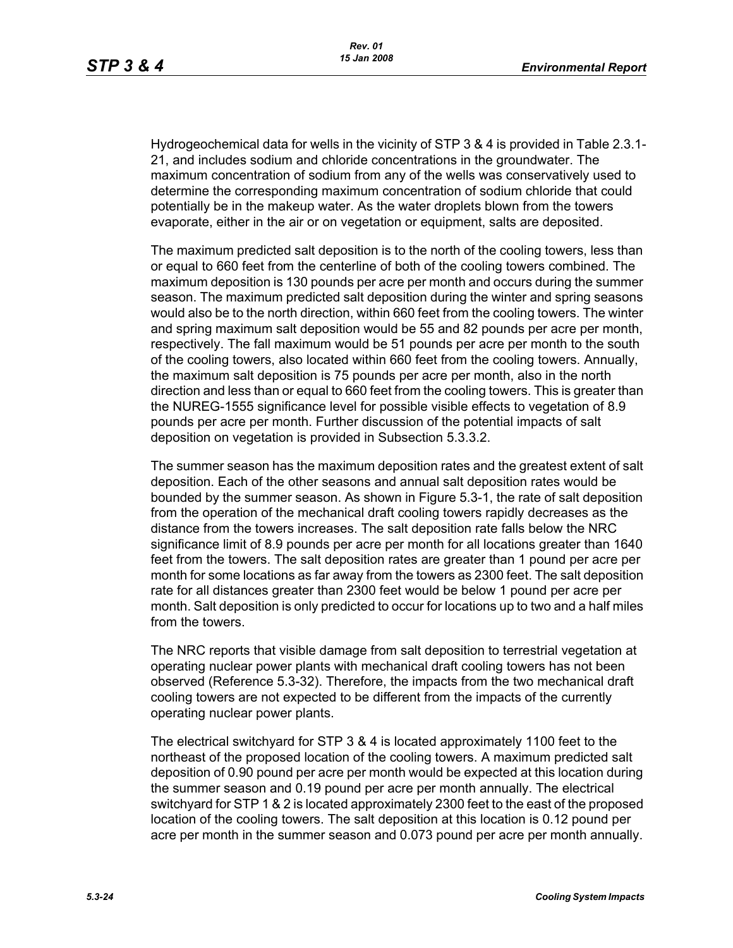Hydrogeochemical data for wells in the vicinity of STP 3 & 4 is provided in Table 2.3.1- 21, and includes sodium and chloride concentrations in the groundwater. The maximum concentration of sodium from any of the wells was conservatively used to determine the corresponding maximum concentration of sodium chloride that could potentially be in the makeup water. As the water droplets blown from the towers evaporate, either in the air or on vegetation or equipment, salts are deposited.

The maximum predicted salt deposition is to the north of the cooling towers, less than or equal to 660 feet from the centerline of both of the cooling towers combined. The maximum deposition is 130 pounds per acre per month and occurs during the summer season. The maximum predicted salt deposition during the winter and spring seasons would also be to the north direction, within 660 feet from the cooling towers. The winter and spring maximum salt deposition would be 55 and 82 pounds per acre per month, respectively. The fall maximum would be 51 pounds per acre per month to the south of the cooling towers, also located within 660 feet from the cooling towers. Annually, the maximum salt deposition is 75 pounds per acre per month, also in the north direction and less than or equal to 660 feet from the cooling towers. This is greater than the NUREG-1555 significance level for possible visible effects to vegetation of 8.9 pounds per acre per month. Further discussion of the potential impacts of salt deposition on vegetation is provided in Subsection 5.3.3.2.

The summer season has the maximum deposition rates and the greatest extent of salt deposition. Each of the other seasons and annual salt deposition rates would be bounded by the summer season. As shown in Figure 5.3-1, the rate of salt deposition from the operation of the mechanical draft cooling towers rapidly decreases as the distance from the towers increases. The salt deposition rate falls below the NRC significance limit of 8.9 pounds per acre per month for all locations greater than 1640 feet from the towers. The salt deposition rates are greater than 1 pound per acre per month for some locations as far away from the towers as 2300 feet. The salt deposition rate for all distances greater than 2300 feet would be below 1 pound per acre per month. Salt deposition is only predicted to occur for locations up to two and a half miles from the towers.

The NRC reports that visible damage from salt deposition to terrestrial vegetation at operating nuclear power plants with mechanical draft cooling towers has not been observed (Reference 5.3-32). Therefore, the impacts from the two mechanical draft cooling towers are not expected to be different from the impacts of the currently operating nuclear power plants.

The electrical switchyard for STP 3 & 4 is located approximately 1100 feet to the northeast of the proposed location of the cooling towers. A maximum predicted salt deposition of 0.90 pound per acre per month would be expected at this location during the summer season and 0.19 pound per acre per month annually. The electrical switchyard for STP 1 & 2 is located approximately 2300 feet to the east of the proposed location of the cooling towers. The salt deposition at this location is 0.12 pound per acre per month in the summer season and 0.073 pound per acre per month annually.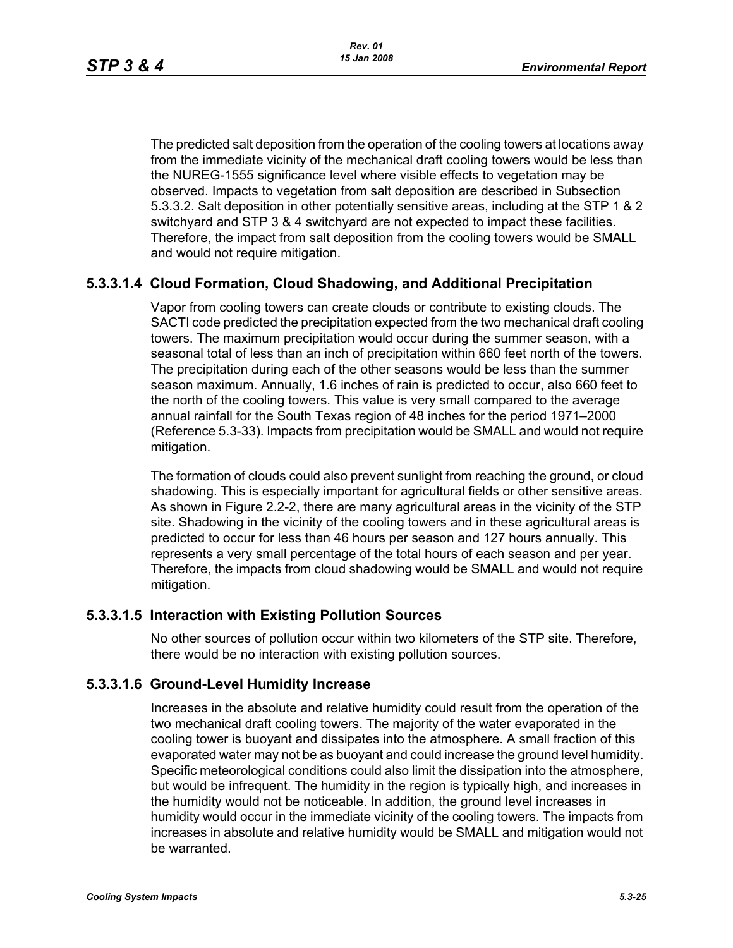The predicted salt deposition from the operation of the cooling towers at locations away from the immediate vicinity of the mechanical draft cooling towers would be less than the NUREG-1555 significance level where visible effects to vegetation may be observed. Impacts to vegetation from salt deposition are described in Subsection 5.3.3.2. Salt deposition in other potentially sensitive areas, including at the STP 1 & 2 switchyard and STP 3 & 4 switchyard are not expected to impact these facilities. Therefore, the impact from salt deposition from the cooling towers would be SMALL and would not require mitigation.

# **5.3.3.1.4 Cloud Formation, Cloud Shadowing, and Additional Precipitation**

Vapor from cooling towers can create clouds or contribute to existing clouds. The SACTI code predicted the precipitation expected from the two mechanical draft cooling towers. The maximum precipitation would occur during the summer season, with a seasonal total of less than an inch of precipitation within 660 feet north of the towers. The precipitation during each of the other seasons would be less than the summer season maximum. Annually, 1.6 inches of rain is predicted to occur, also 660 feet to the north of the cooling towers. This value is very small compared to the average annual rainfall for the South Texas region of 48 inches for the period 1971–2000 (Reference 5.3-33). Impacts from precipitation would be SMALL and would not require mitigation.

The formation of clouds could also prevent sunlight from reaching the ground, or cloud shadowing. This is especially important for agricultural fields or other sensitive areas. As shown in Figure 2.2-2, there are many agricultural areas in the vicinity of the STP site. Shadowing in the vicinity of the cooling towers and in these agricultural areas is predicted to occur for less than 46 hours per season and 127 hours annually. This represents a very small percentage of the total hours of each season and per year. Therefore, the impacts from cloud shadowing would be SMALL and would not require mitigation.

## **5.3.3.1.5 Interaction with Existing Pollution Sources**

No other sources of pollution occur within two kilometers of the STP site. Therefore, there would be no interaction with existing pollution sources.

## **5.3.3.1.6 Ground-Level Humidity Increase**

Increases in the absolute and relative humidity could result from the operation of the two mechanical draft cooling towers. The majority of the water evaporated in the cooling tower is buoyant and dissipates into the atmosphere. A small fraction of this evaporated water may not be as buoyant and could increase the ground level humidity. Specific meteorological conditions could also limit the dissipation into the atmosphere, but would be infrequent. The humidity in the region is typically high, and increases in the humidity would not be noticeable. In addition, the ground level increases in humidity would occur in the immediate vicinity of the cooling towers. The impacts from increases in absolute and relative humidity would be SMALL and mitigation would not be warranted.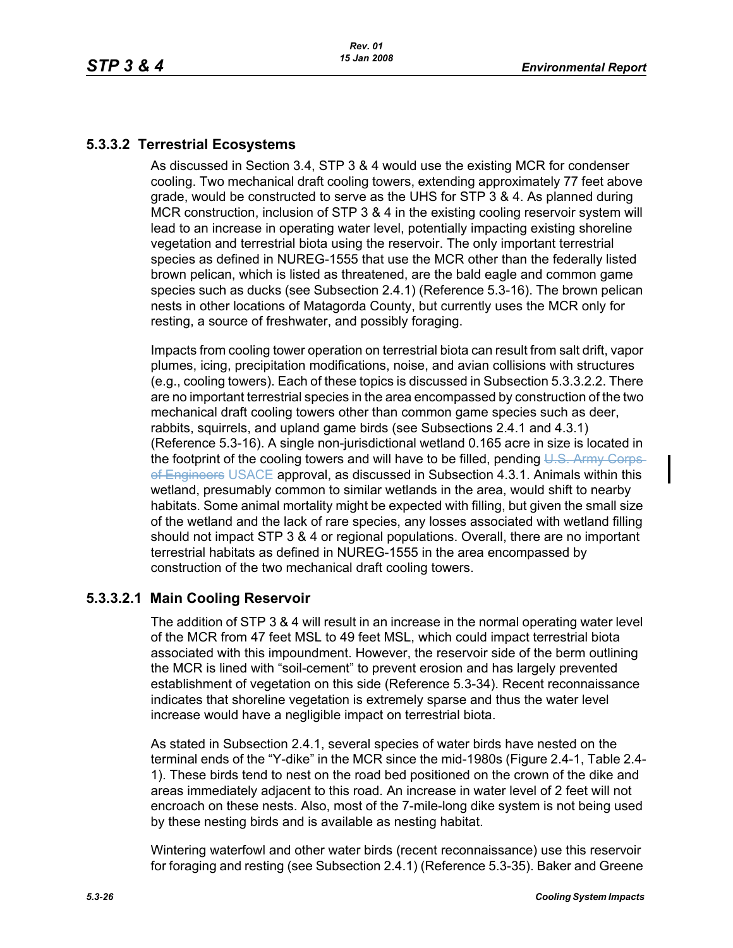# **5.3.3.2 Terrestrial Ecosystems**

As discussed in Section 3.4, STP 3 & 4 would use the existing MCR for condenser cooling. Two mechanical draft cooling towers, extending approximately 77 feet above grade, would be constructed to serve as the UHS for STP 3 & 4. As planned during MCR construction, inclusion of STP 3 & 4 in the existing cooling reservoir system will lead to an increase in operating water level, potentially impacting existing shoreline vegetation and terrestrial biota using the reservoir. The only important terrestrial species as defined in NUREG-1555 that use the MCR other than the federally listed brown pelican, which is listed as threatened, are the bald eagle and common game species such as ducks (see Subsection 2.4.1) (Reference 5.3-16). The brown pelican nests in other locations of Matagorda County, but currently uses the MCR only for resting, a source of freshwater, and possibly foraging.

Impacts from cooling tower operation on terrestrial biota can result from salt drift, vapor plumes, icing, precipitation modifications, noise, and avian collisions with structures (e.g., cooling towers). Each of these topics is discussed in Subsection 5.3.3.2.2. There are no important terrestrial species in the area encompassed by construction of the two mechanical draft cooling towers other than common game species such as deer, rabbits, squirrels, and upland game birds (see Subsections 2.4.1 and 4.3.1) (Reference 5.3-16). A single non-jurisdictional wetland 0.165 acre in size is located in the footprint of the cooling towers and will have to be filled, pending U.S. Army Corpsof Engineers USACE approval, as discussed in Subsection 4.3.1. Animals within this wetland, presumably common to similar wetlands in the area, would shift to nearby habitats. Some animal mortality might be expected with filling, but given the small size of the wetland and the lack of rare species, any losses associated with wetland filling should not impact STP 3 & 4 or regional populations. Overall, there are no important terrestrial habitats as defined in NUREG-1555 in the area encompassed by construction of the two mechanical draft cooling towers.

# **5.3.3.2.1 Main Cooling Reservoir**

The addition of STP 3 & 4 will result in an increase in the normal operating water level of the MCR from 47 feet MSL to 49 feet MSL, which could impact terrestrial biota associated with this impoundment. However, the reservoir side of the berm outlining the MCR is lined with "soil-cement" to prevent erosion and has largely prevented establishment of vegetation on this side (Reference 5.3-34). Recent reconnaissance indicates that shoreline vegetation is extremely sparse and thus the water level increase would have a negligible impact on terrestrial biota.

As stated in Subsection 2.4.1, several species of water birds have nested on the terminal ends of the "Y-dike" in the MCR since the mid-1980s (Figure 2.4-1, Table 2.4- 1). These birds tend to nest on the road bed positioned on the crown of the dike and areas immediately adjacent to this road. An increase in water level of 2 feet will not encroach on these nests. Also, most of the 7-mile-long dike system is not being used by these nesting birds and is available as nesting habitat.

Wintering waterfowl and other water birds (recent reconnaissance) use this reservoir for foraging and resting (see Subsection 2.4.1) (Reference 5.3-35). Baker and Greene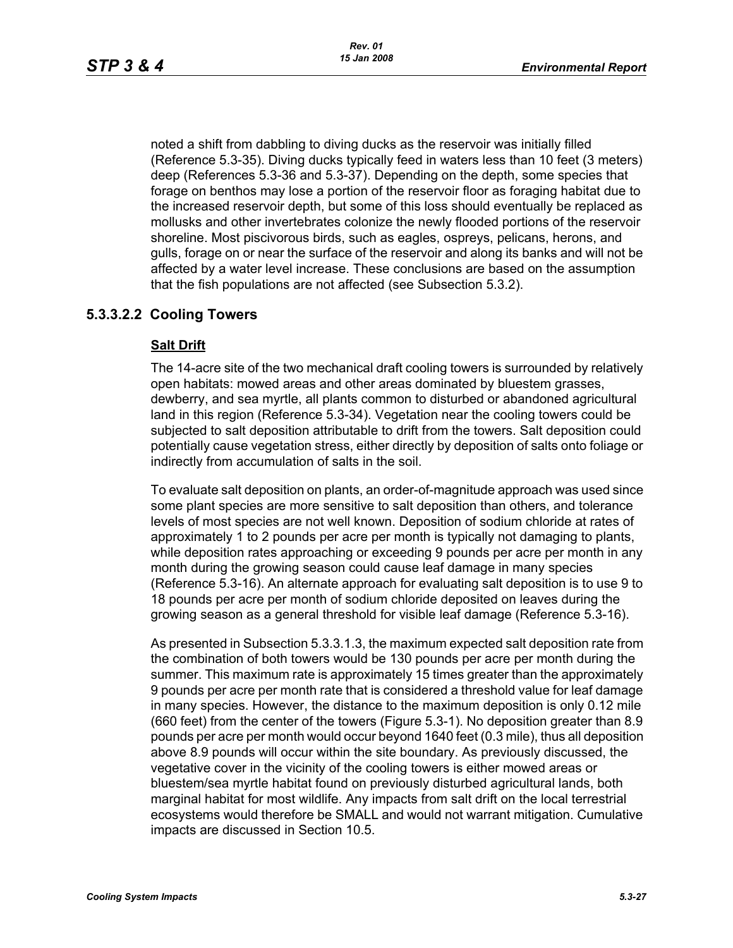noted a shift from dabbling to diving ducks as the reservoir was initially filled (Reference 5.3-35). Diving ducks typically feed in waters less than 10 feet (3 meters) deep (References 5.3-36 and 5.3-37). Depending on the depth, some species that forage on benthos may lose a portion of the reservoir floor as foraging habitat due to the increased reservoir depth, but some of this loss should eventually be replaced as mollusks and other invertebrates colonize the newly flooded portions of the reservoir shoreline. Most piscivorous birds, such as eagles, ospreys, pelicans, herons, and gulls, forage on or near the surface of the reservoir and along its banks and will not be affected by a water level increase. These conclusions are based on the assumption that the fish populations are not affected (see Subsection 5.3.2).

# **5.3.3.2.2 Cooling Towers**

#### **Salt Drift**

The 14-acre site of the two mechanical draft cooling towers is surrounded by relatively open habitats: mowed areas and other areas dominated by bluestem grasses, dewberry, and sea myrtle, all plants common to disturbed or abandoned agricultural land in this region (Reference 5.3-34). Vegetation near the cooling towers could be subjected to salt deposition attributable to drift from the towers. Salt deposition could potentially cause vegetation stress, either directly by deposition of salts onto foliage or indirectly from accumulation of salts in the soil.

To evaluate salt deposition on plants, an order-of-magnitude approach was used since some plant species are more sensitive to salt deposition than others, and tolerance levels of most species are not well known. Deposition of sodium chloride at rates of approximately 1 to 2 pounds per acre per month is typically not damaging to plants, while deposition rates approaching or exceeding 9 pounds per acre per month in any month during the growing season could cause leaf damage in many species (Reference 5.3-16). An alternate approach for evaluating salt deposition is to use 9 to 18 pounds per acre per month of sodium chloride deposited on leaves during the growing season as a general threshold for visible leaf damage (Reference 5.3-16).

As presented in Subsection 5.3.3.1.3, the maximum expected salt deposition rate from the combination of both towers would be 130 pounds per acre per month during the summer. This maximum rate is approximately 15 times greater than the approximately 9 pounds per acre per month rate that is considered a threshold value for leaf damage in many species. However, the distance to the maximum deposition is only 0.12 mile (660 feet) from the center of the towers (Figure 5.3-1). No deposition greater than 8.9 pounds per acre per month would occur beyond 1640 feet (0.3 mile), thus all deposition above 8.9 pounds will occur within the site boundary. As previously discussed, the vegetative cover in the vicinity of the cooling towers is either mowed areas or bluestem/sea myrtle habitat found on previously disturbed agricultural lands, both marginal habitat for most wildlife. Any impacts from salt drift on the local terrestrial ecosystems would therefore be SMALL and would not warrant mitigation. Cumulative impacts are discussed in Section 10.5.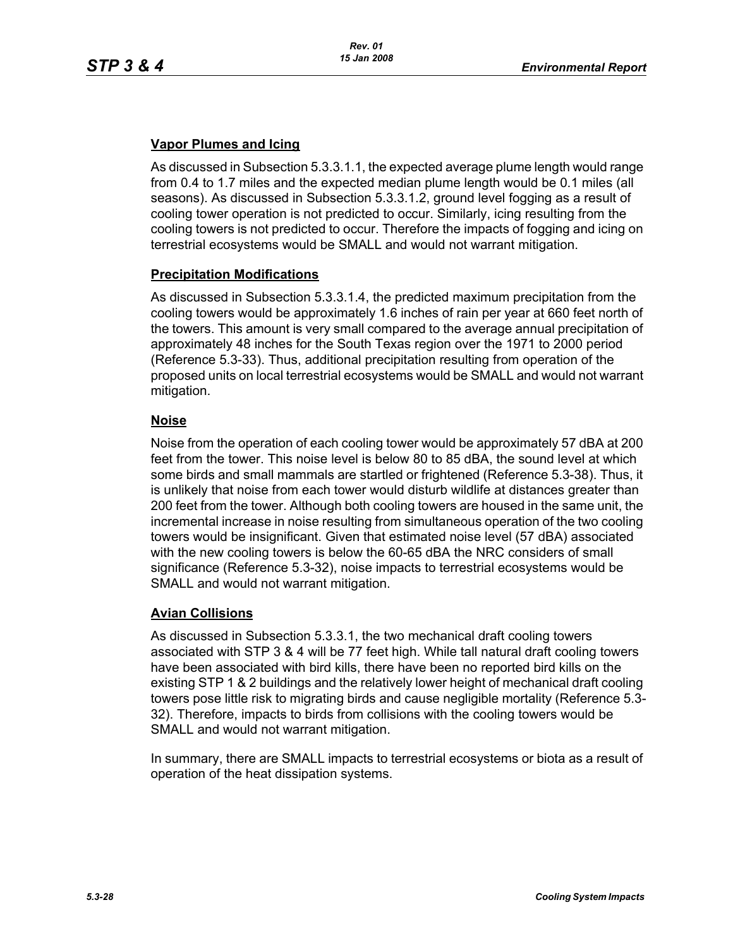# **Vapor Plumes and Icing**

As discussed in Subsection 5.3.3.1.1, the expected average plume length would range from 0.4 to 1.7 miles and the expected median plume length would be 0.1 miles (all seasons). As discussed in Subsection 5.3.3.1.2, ground level fogging as a result of cooling tower operation is not predicted to occur. Similarly, icing resulting from the cooling towers is not predicted to occur. Therefore the impacts of fogging and icing on terrestrial ecosystems would be SMALL and would not warrant mitigation.

## **Precipitation Modifications**

As discussed in Subsection 5.3.3.1.4, the predicted maximum precipitation from the cooling towers would be approximately 1.6 inches of rain per year at 660 feet north of the towers. This amount is very small compared to the average annual precipitation of approximately 48 inches for the South Texas region over the 1971 to 2000 period (Reference 5.3-33). Thus, additional precipitation resulting from operation of the proposed units on local terrestrial ecosystems would be SMALL and would not warrant mitigation.

# **Noise**

Noise from the operation of each cooling tower would be approximately 57 dBA at 200 feet from the tower. This noise level is below 80 to 85 dBA, the sound level at which some birds and small mammals are startled or frightened (Reference 5.3-38). Thus, it is unlikely that noise from each tower would disturb wildlife at distances greater than 200 feet from the tower. Although both cooling towers are housed in the same unit, the incremental increase in noise resulting from simultaneous operation of the two cooling towers would be insignificant. Given that estimated noise level (57 dBA) associated with the new cooling towers is below the 60-65 dBA the NRC considers of small significance (Reference 5.3-32), noise impacts to terrestrial ecosystems would be SMALL and would not warrant mitigation.

## **Avian Collisions**

As discussed in Subsection 5.3.3.1, the two mechanical draft cooling towers associated with STP 3 & 4 will be 77 feet high. While tall natural draft cooling towers have been associated with bird kills, there have been no reported bird kills on the existing STP 1 & 2 buildings and the relatively lower height of mechanical draft cooling towers pose little risk to migrating birds and cause negligible mortality (Reference 5.3- 32). Therefore, impacts to birds from collisions with the cooling towers would be SMALL and would not warrant mitigation.

In summary, there are SMALL impacts to terrestrial ecosystems or biota as a result of operation of the heat dissipation systems.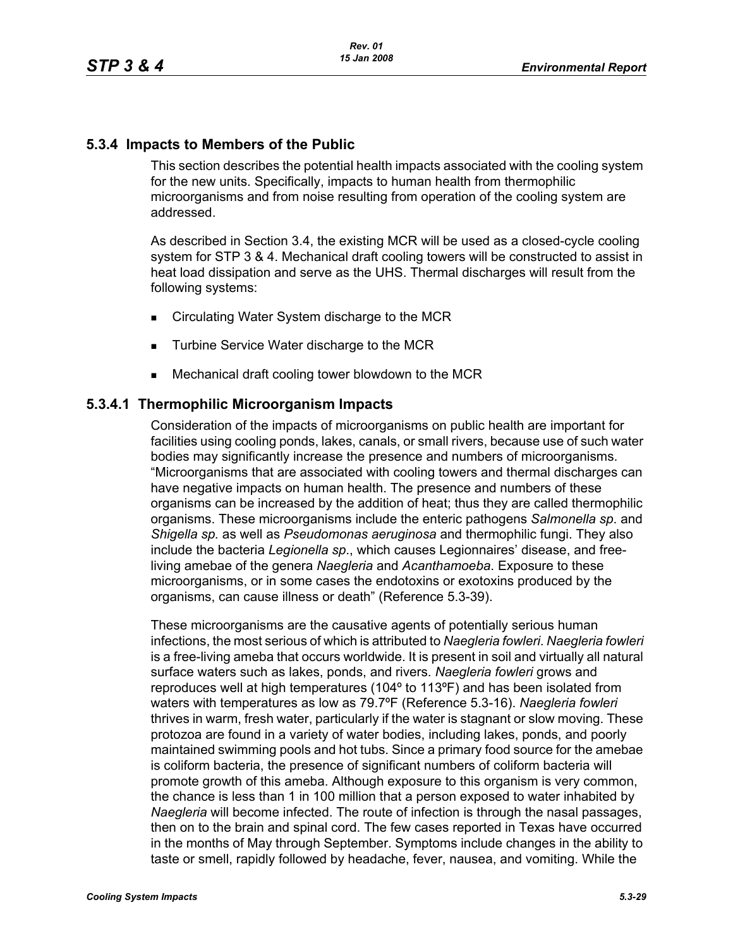# **5.3.4 Impacts to Members of the Public**

This section describes the potential health impacts associated with the cooling system for the new units. Specifically, impacts to human health from thermophilic microorganisms and from noise resulting from operation of the cooling system are addressed.

As described in Section 3.4, the existing MCR will be used as a closed-cycle cooling system for STP 3 & 4. Mechanical draft cooling towers will be constructed to assist in heat load dissipation and serve as the UHS. Thermal discharges will result from the following systems:

- Circulating Water System discharge to the MCR
- **Turbine Service Water discharge to the MCR**
- **Mechanical draft cooling tower blowdown to the MCR**

## **5.3.4.1 Thermophilic Microorganism Impacts**

Consideration of the impacts of microorganisms on public health are important for facilities using cooling ponds, lakes, canals, or small rivers, because use of such water bodies may significantly increase the presence and numbers of microorganisms. "Microorganisms that are associated with cooling towers and thermal discharges can have negative impacts on human health. The presence and numbers of these organisms can be increased by the addition of heat; thus they are called thermophilic organisms. These microorganisms include the enteric pathogens *Salmonella sp*. and *Shigella sp.* as well as *Pseudomonas aeruginosa* and thermophilic fungi. They also include the bacteria *Legionella sp*., which causes Legionnaires' disease, and freeliving amebae of the genera *Naegleria* and *Acanthamoeba*. Exposure to these microorganisms, or in some cases the endotoxins or exotoxins produced by the organisms, can cause illness or death" (Reference 5.3-39).

These microorganisms are the causative agents of potentially serious human infections, the most serious of which is attributed to *Naegleria fowleri*. *Naegleria fowleri* is a free-living ameba that occurs worldwide. It is present in soil and virtually all natural surface waters such as lakes, ponds, and rivers. *Naegleria fowleri* grows and reproduces well at high temperatures (104º to 113ºF) and has been isolated from waters with temperatures as low as 79.7ºF (Reference 5.3-16). *Naegleria fowleri* thrives in warm, fresh water, particularly if the water is stagnant or slow moving. These protozoa are found in a variety of water bodies, including lakes, ponds, and poorly maintained swimming pools and hot tubs. Since a primary food source for the amebae is coliform bacteria, the presence of significant numbers of coliform bacteria will promote growth of this ameba. Although exposure to this organism is very common, the chance is less than 1 in 100 million that a person exposed to water inhabited by *Naegleria* will become infected. The route of infection is through the nasal passages, then on to the brain and spinal cord. The few cases reported in Texas have occurred in the months of May through September. Symptoms include changes in the ability to taste or smell, rapidly followed by headache, fever, nausea, and vomiting. While the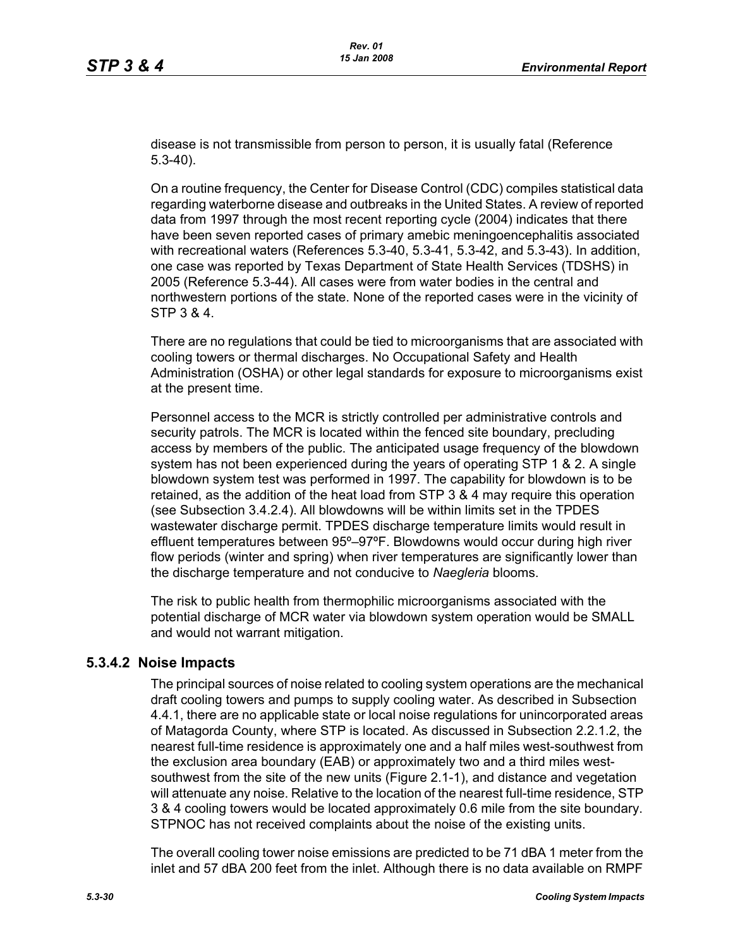disease is not transmissible from person to person, it is usually fatal (Reference 5.3-40).

On a routine frequency, the Center for Disease Control (CDC) compiles statistical data regarding waterborne disease and outbreaks in the United States. A review of reported data from 1997 through the most recent reporting cycle (2004) indicates that there have been seven reported cases of primary amebic meningoencephalitis associated with recreational waters (References 5.3-40, 5.3-41, 5.3-42, and 5.3-43). In addition, one case was reported by Texas Department of State Health Services (TDSHS) in 2005 (Reference 5.3-44). All cases were from water bodies in the central and northwestern portions of the state. None of the reported cases were in the vicinity of STP 3 & 4.

There are no regulations that could be tied to microorganisms that are associated with cooling towers or thermal discharges. No Occupational Safety and Health Administration (OSHA) or other legal standards for exposure to microorganisms exist at the present time.

Personnel access to the MCR is strictly controlled per administrative controls and security patrols. The MCR is located within the fenced site boundary, precluding access by members of the public. The anticipated usage frequency of the blowdown system has not been experienced during the years of operating STP 1 & 2. A single blowdown system test was performed in 1997. The capability for blowdown is to be retained, as the addition of the heat load from STP 3 & 4 may require this operation (see Subsection 3.4.2.4). All blowdowns will be within limits set in the TPDES wastewater discharge permit. TPDES discharge temperature limits would result in effluent temperatures between 95º–97ºF. Blowdowns would occur during high river flow periods (winter and spring) when river temperatures are significantly lower than the discharge temperature and not conducive to *Naegleria* blooms.

The risk to public health from thermophilic microorganisms associated with the potential discharge of MCR water via blowdown system operation would be SMALL and would not warrant mitigation.

## **5.3.4.2 Noise Impacts**

The principal sources of noise related to cooling system operations are the mechanical draft cooling towers and pumps to supply cooling water. As described in Subsection 4.4.1, there are no applicable state or local noise regulations for unincorporated areas of Matagorda County, where STP is located. As discussed in Subsection 2.2.1.2, the nearest full-time residence is approximately one and a half miles west-southwest from the exclusion area boundary (EAB) or approximately two and a third miles westsouthwest from the site of the new units (Figure 2.1-1), and distance and vegetation will attenuate any noise. Relative to the location of the nearest full-time residence, STP 3 & 4 cooling towers would be located approximately 0.6 mile from the site boundary. STPNOC has not received complaints about the noise of the existing units.

The overall cooling tower noise emissions are predicted to be 71 dBA 1 meter from the inlet and 57 dBA 200 feet from the inlet. Although there is no data available on RMPF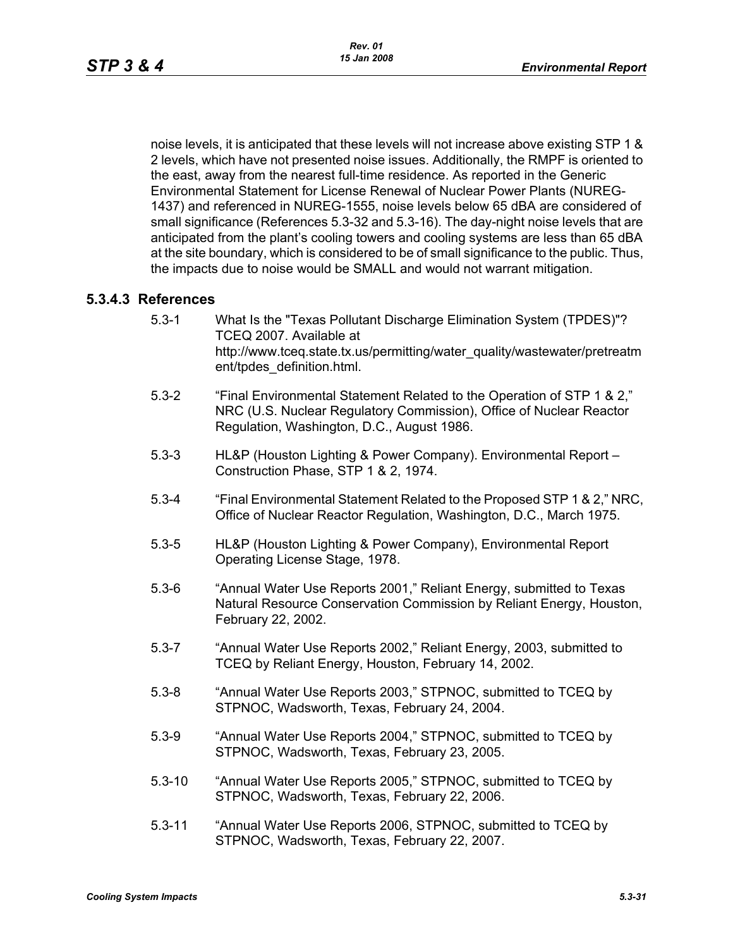noise levels, it is anticipated that these levels will not increase above existing STP 1 & 2 levels, which have not presented noise issues. Additionally, the RMPF is oriented to the east, away from the nearest full-time residence. As reported in the Generic Environmental Statement for License Renewal of Nuclear Power Plants (NUREG-1437) and referenced in NUREG-1555, noise levels below 65 dBA are considered of small significance (References 5.3-32 and 5.3-16). The day-night noise levels that are anticipated from the plant's cooling towers and cooling systems are less than 65 dBA at the site boundary, which is considered to be of small significance to the public. Thus, the impacts due to noise would be SMALL and would not warrant mitigation.

# **5.3.4.3 References**

- 5.3-1 What Is the "Texas Pollutant Discharge Elimination System (TPDES)"? TCEQ 2007. Available at http://www.tceq.state.tx.us/permitting/water\_quality/wastewater/pretreatm ent/tpdes\_definition.html.
- 5.3-2 "Final Environmental Statement Related to the Operation of STP 1 & 2," NRC (U.S. Nuclear Regulatory Commission), Office of Nuclear Reactor Regulation, Washington, D.C., August 1986.
- 5.3-3 HL&P (Houston Lighting & Power Company). Environmental Report Construction Phase, STP 1 & 2, 1974.
- 5.3-4 "Final Environmental Statement Related to the Proposed STP 1 & 2," NRC, Office of Nuclear Reactor Regulation, Washington, D.C., March 1975.
- 5.3-5 HL&P (Houston Lighting & Power Company), Environmental Report Operating License Stage, 1978.
- 5.3-6 "Annual Water Use Reports 2001," Reliant Energy, submitted to Texas Natural Resource Conservation Commission by Reliant Energy, Houston, February 22, 2002.
- 5.3-7 "Annual Water Use Reports 2002," Reliant Energy, 2003, submitted to TCEQ by Reliant Energy, Houston, February 14, 2002.
- 5.3-8 "Annual Water Use Reports 2003," STPNOC, submitted to TCEQ by STPNOC, Wadsworth, Texas, February 24, 2004.
- 5.3-9 "Annual Water Use Reports 2004," STPNOC, submitted to TCEQ by STPNOC, Wadsworth, Texas, February 23, 2005.
- 5.3-10 "Annual Water Use Reports 2005," STPNOC, submitted to TCEQ by STPNOC, Wadsworth, Texas, February 22, 2006.
- 5.3-11 "Annual Water Use Reports 2006, STPNOC, submitted to TCEQ by STPNOC, Wadsworth, Texas, February 22, 2007.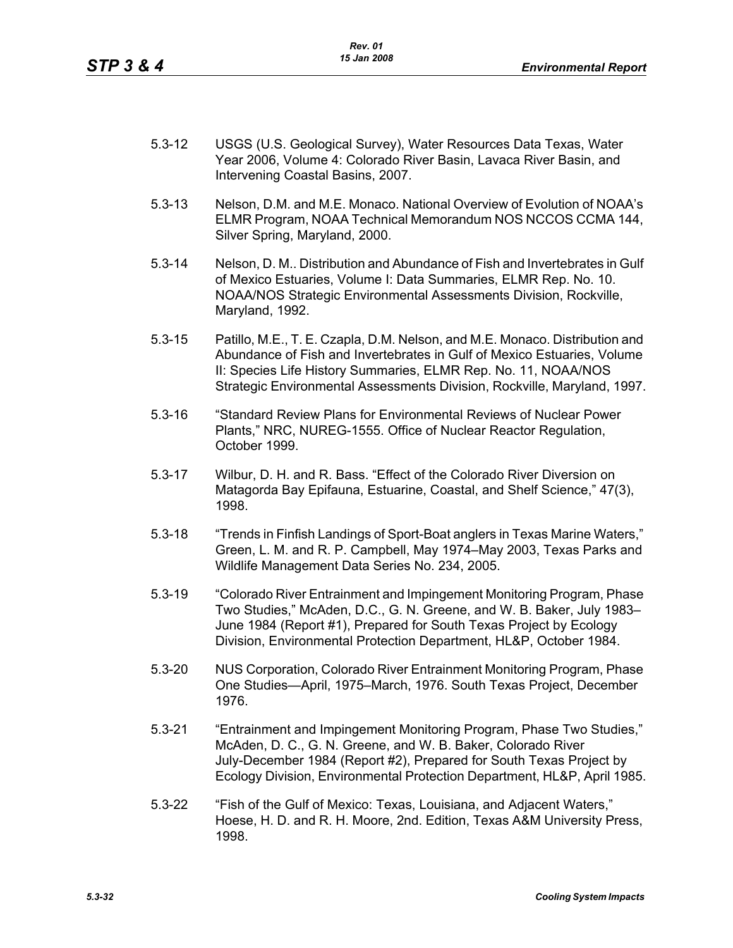- 5.3-12 USGS (U.S. Geological Survey), Water Resources Data Texas, Water Year 2006, Volume 4: Colorado River Basin, Lavaca River Basin, and Intervening Coastal Basins, 2007.
- 5.3-13 Nelson, D.M. and M.E. Monaco. National Overview of Evolution of NOAA's ELMR Program, NOAA Technical Memorandum NOS NCCOS CCMA 144, Silver Spring, Maryland, 2000.
- 5.3-14 Nelson, D. M.. Distribution and Abundance of Fish and Invertebrates in Gulf of Mexico Estuaries, Volume I: Data Summaries, ELMR Rep. No. 10. NOAA/NOS Strategic Environmental Assessments Division, Rockville, Maryland, 1992.
- 5.3-15 Patillo, M.E., T. E. Czapla, D.M. Nelson, and M.E. Monaco. Distribution and Abundance of Fish and Invertebrates in Gulf of Mexico Estuaries, Volume II: Species Life History Summaries, ELMR Rep. No. 11, NOAA/NOS Strategic Environmental Assessments Division, Rockville, Maryland, 1997.
- 5.3-16 "Standard Review Plans for Environmental Reviews of Nuclear Power Plants," NRC, NUREG-1555. Office of Nuclear Reactor Regulation, October 1999.
- 5.3-17 Wilbur, D. H. and R. Bass. "Effect of the Colorado River Diversion on Matagorda Bay Epifauna, Estuarine, Coastal, and Shelf Science," 47(3), 1998.
- 5.3-18 "Trends in Finfish Landings of Sport-Boat anglers in Texas Marine Waters," Green, L. M. and R. P. Campbell, May 1974–May 2003, Texas Parks and Wildlife Management Data Series No. 234, 2005.
- 5.3-19 "Colorado River Entrainment and Impingement Monitoring Program, Phase Two Studies," McAden, D.C., G. N. Greene, and W. B. Baker, July 1983– June 1984 (Report #1), Prepared for South Texas Project by Ecology Division, Environmental Protection Department, HL&P, October 1984.
- 5.3-20 NUS Corporation, Colorado River Entrainment Monitoring Program, Phase One Studies—April, 1975–March, 1976. South Texas Project, December 1976.
- 5.3-21 "Entrainment and Impingement Monitoring Program, Phase Two Studies," McAden, D. C., G. N. Greene, and W. B. Baker, Colorado River July-December 1984 (Report #2), Prepared for South Texas Project by Ecology Division, Environmental Protection Department, HL&P, April 1985.
- 5.3-22 "Fish of the Gulf of Mexico: Texas, Louisiana, and Adjacent Waters," Hoese, H. D. and R. H. Moore, 2nd. Edition, Texas A&M University Press, 1998.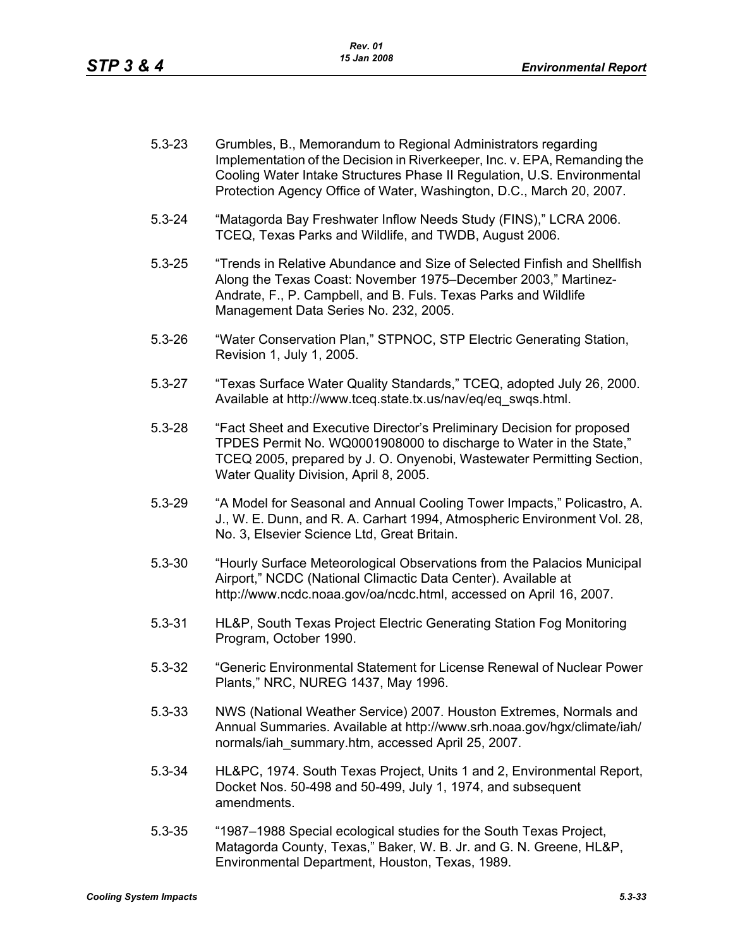- 5.3-23 Grumbles, B., Memorandum to Regional Administrators regarding Implementation of the Decision in Riverkeeper, Inc. v. EPA, Remanding the Cooling Water Intake Structures Phase II Regulation, U.S. Environmental Protection Agency Office of Water, Washington, D.C., March 20, 2007.
- 5.3-24 "Matagorda Bay Freshwater Inflow Needs Study (FINS)," LCRA 2006. TCEQ, Texas Parks and Wildlife, and TWDB, August 2006.
- 5.3-25 "Trends in Relative Abundance and Size of Selected Finfish and Shellfish Along the Texas Coast: November 1975–December 2003," Martinez-Andrate, F., P. Campbell, and B. Fuls. Texas Parks and Wildlife Management Data Series No. 232, 2005.
- 5.3-26 "Water Conservation Plan," STPNOC, STP Electric Generating Station, Revision 1, July 1, 2005.
- 5.3-27 "Texas Surface Water Quality Standards," TCEQ, adopted July 26, 2000. Available at http://www.tceq.state.tx.us/nav/eq/eq\_swqs.html.
- 5.3-28 "Fact Sheet and Executive Director's Preliminary Decision for proposed TPDES Permit No. WQ0001908000 to discharge to Water in the State," TCEQ 2005, prepared by J. O. Onyenobi, Wastewater Permitting Section, Water Quality Division, April 8, 2005.
- 5.3-29 "A Model for Seasonal and Annual Cooling Tower Impacts," Policastro, A. J., W. E. Dunn, and R. A. Carhart 1994, Atmospheric Environment Vol. 28, No. 3, Elsevier Science Ltd, Great Britain.
- 5.3-30 "Hourly Surface Meteorological Observations from the Palacios Municipal Airport," NCDC (National Climactic Data Center). Available at http://www.ncdc.noaa.gov/oa/ncdc.html, accessed on April 16, 2007.
- 5.3-31 HL&P, South Texas Project Electric Generating Station Fog Monitoring Program, October 1990.
- 5.3-32 "Generic Environmental Statement for License Renewal of Nuclear Power Plants," NRC, NUREG 1437, May 1996.
- 5.3-33 NWS (National Weather Service) 2007. Houston Extremes, Normals and Annual Summaries. Available at http://www.srh.noaa.gov/hgx/climate/iah/ normals/iah\_summary.htm, accessed April 25, 2007.
- 5.3-34 HL&PC, 1974. South Texas Project, Units 1 and 2, Environmental Report, Docket Nos. 50-498 and 50-499, July 1, 1974, and subsequent amendments.
- 5.3-35 "1987–1988 Special ecological studies for the South Texas Project, Matagorda County, Texas," Baker, W. B. Jr. and G. N. Greene, HL&P, Environmental Department, Houston, Texas, 1989.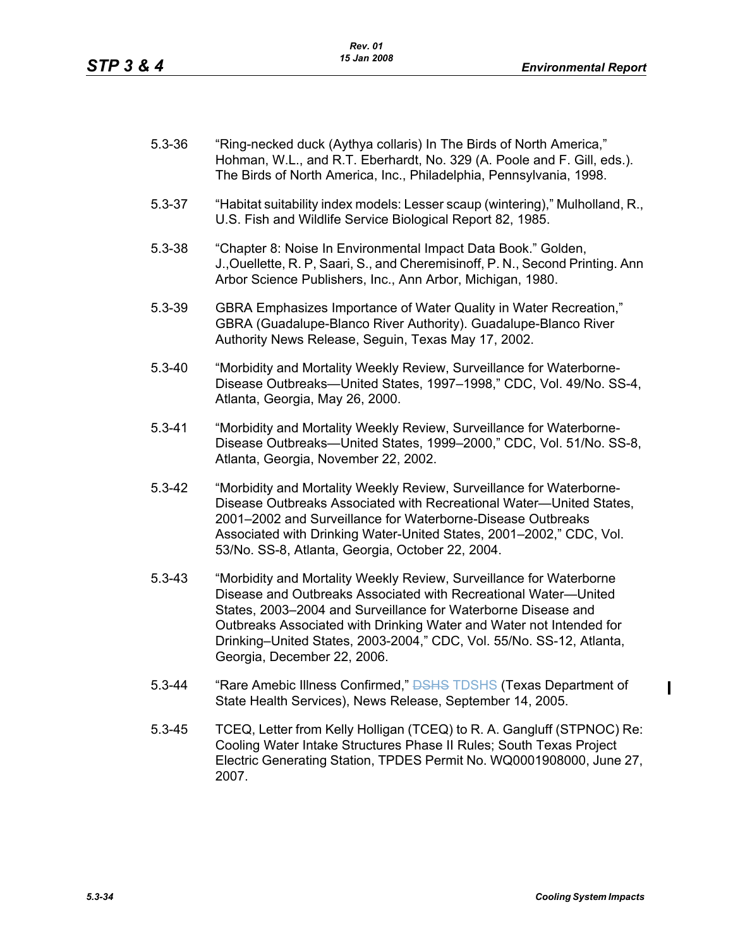| $5.3 - 36$ | "Ring-necked duck (Aythya collaris) In The Birds of North America,"<br>Hohman, W.L., and R.T. Eberhardt, No. 329 (A. Poole and F. Gill, eds.).<br>The Birds of North America, Inc., Philadelphia, Pennsylvania, 1998.                                                                                                                                                                 |
|------------|---------------------------------------------------------------------------------------------------------------------------------------------------------------------------------------------------------------------------------------------------------------------------------------------------------------------------------------------------------------------------------------|
| $5.3 - 37$ | "Habitat suitability index models: Lesser scaup (wintering)," Mulholland, R.,<br>U.S. Fish and Wildlife Service Biological Report 82, 1985.                                                                                                                                                                                                                                           |
| $5.3 - 38$ | "Chapter 8: Noise In Environmental Impact Data Book." Golden,<br>J., Ouellette, R. P, Saari, S., and Cheremisinoff, P. N., Second Printing. Ann<br>Arbor Science Publishers, Inc., Ann Arbor, Michigan, 1980.                                                                                                                                                                         |
| $5.3 - 39$ | GBRA Emphasizes Importance of Water Quality in Water Recreation,"<br>GBRA (Guadalupe-Blanco River Authority). Guadalupe-Blanco River<br>Authority News Release, Seguin, Texas May 17, 2002.                                                                                                                                                                                           |
| $5.3 - 40$ | "Morbidity and Mortality Weekly Review, Surveillance for Waterborne-<br>Disease Outbreaks-United States, 1997-1998," CDC, Vol. 49/No. SS-4,<br>Atlanta, Georgia, May 26, 2000.                                                                                                                                                                                                        |
| $5.3 - 41$ | "Morbidity and Mortality Weekly Review, Surveillance for Waterborne-<br>Disease Outbreaks-United States, 1999-2000," CDC, Vol. 51/No. SS-8,<br>Atlanta, Georgia, November 22, 2002.                                                                                                                                                                                                   |
| $5.3 - 42$ | "Morbidity and Mortality Weekly Review, Surveillance for Waterborne-<br>Disease Outbreaks Associated with Recreational Water-United States,<br>2001-2002 and Surveillance for Waterborne-Disease Outbreaks<br>Associated with Drinking Water-United States, 2001-2002," CDC, Vol.<br>53/No. SS-8, Atlanta, Georgia, October 22, 2004.                                                 |
| $5.3 - 43$ | "Morbidity and Mortality Weekly Review, Surveillance for Waterborne<br>Disease and Outbreaks Associated with Recreational Water-United<br>States, 2003-2004 and Surveillance for Waterborne Disease and<br>Outbreaks Associated with Drinking Water and Water not Intended for<br>Drinking-United States, 2003-2004," CDC, Vol. 55/No. SS-12, Atlanta,<br>Georgia, December 22, 2006. |
| $5.3 - 44$ | "Rare Amebic Illness Confirmed," <del>DSHS</del> TDSHS (Texas Department of<br>State Health Services), News Release, September 14, 2005.                                                                                                                                                                                                                                              |
| $5.3 - 45$ | TCEQ, Letter from Kelly Holligan (TCEQ) to R. A. Gangluff (STPNOC) Re:<br>Cooling Water Intake Structures Phase II Rules; South Texas Project                                                                                                                                                                                                                                         |

Electric Generating Station, TPDES Permit No. WQ0001908000, June 27,

 $\mathbf{I}$ 

2007.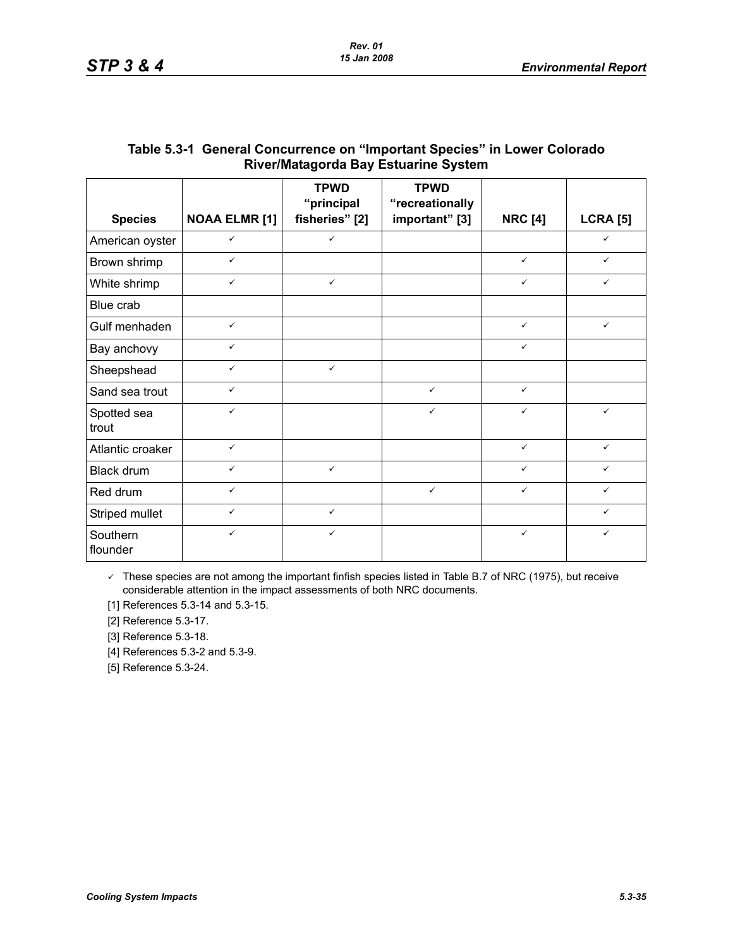| <b>Species</b>       | <b>NOAA ELMR [1]</b> | <b>TPWD</b><br>"principal<br>fisheries" [2] | <b>TPWD</b><br>"recreationally<br>important" [3] | <b>NRC [4]</b> | <b>LCRA [5]</b> |
|----------------------|----------------------|---------------------------------------------|--------------------------------------------------|----------------|-----------------|
| American oyster      | $\checkmark$         | $\checkmark$                                |                                                  |                | ✓               |
| Brown shrimp         | $\checkmark$         |                                             |                                                  | $\checkmark$   | $\checkmark$    |
| White shrimp         | $\checkmark$         | $\checkmark$                                |                                                  | $\checkmark$   | $\checkmark$    |
| Blue crab            |                      |                                             |                                                  |                |                 |
| Gulf menhaden        | $\checkmark$         |                                             |                                                  | $\checkmark$   | $\checkmark$    |
| Bay anchovy          | $\checkmark$         |                                             |                                                  | $\checkmark$   |                 |
| Sheepshead           | $\checkmark$         | $\checkmark$                                |                                                  |                |                 |
| Sand sea trout       | $\checkmark$         |                                             | $\checkmark$                                     | $\checkmark$   |                 |
| Spotted sea<br>trout | $\checkmark$         |                                             | $\checkmark$                                     | $\checkmark$   | $\checkmark$    |
| Atlantic croaker     | $\checkmark$         |                                             |                                                  | $\checkmark$   | $\checkmark$    |
| Black drum           | $\checkmark$         | $\checkmark$                                |                                                  | $\checkmark$   | ✓               |
| Red drum             | $\checkmark$         |                                             | $\checkmark$                                     | $\checkmark$   | $\checkmark$    |
| Striped mullet       | $\checkmark$         | $\checkmark$                                |                                                  |                | $\checkmark$    |
| Southern<br>flounder | $\checkmark$         | $\checkmark$                                |                                                  | $\checkmark$   | $\checkmark$    |

## **Table 5.3-1 General Concurrence on "Important Species" in Lower Colorado River/Matagorda Bay Estuarine System**

 $\checkmark$  These species are not among the important finfish species listed in Table B.7 of NRC (1975), but receive considerable attention in the impact assessments of both NRC documents.

[1] References 5.3-14 and 5.3-15.

[2] Reference 5.3-17.

[3] Reference 5.3-18.

[4] References 5.3-2 and 5.3-9.

[5] Reference 5.3-24.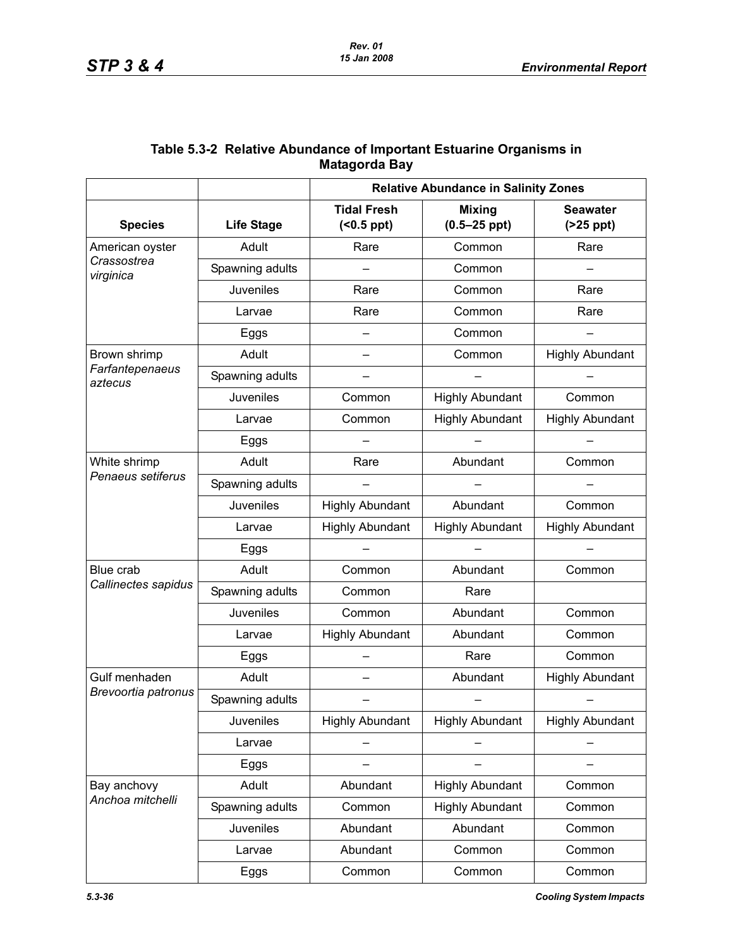|                            |                   | <b>Relative Abundance in Salinity Zones</b> |                                   |                               |  |  |
|----------------------------|-------------------|---------------------------------------------|-----------------------------------|-------------------------------|--|--|
| <b>Species</b>             | <b>Life Stage</b> | <b>Tidal Fresh</b><br>$( <0.5$ ppt $)$      | <b>Mixing</b><br>$(0.5 - 25$ ppt) | <b>Seawater</b><br>$(25$ ppt) |  |  |
| American oyster            | Adult             | Rare                                        | Common                            | Rare                          |  |  |
| Crassostrea<br>virginica   | Spawning adults   |                                             | Common                            |                               |  |  |
|                            | <b>Juveniles</b>  | Rare                                        | Common                            | Rare                          |  |  |
|                            | Larvae            | Rare                                        | Common                            | Rare                          |  |  |
|                            | Eggs              |                                             | Common                            |                               |  |  |
| Brown shrimp               | Adult             |                                             | Common                            | <b>Highly Abundant</b>        |  |  |
| Farfantepenaeus<br>aztecus | Spawning adults   |                                             |                                   |                               |  |  |
|                            | <b>Juveniles</b>  | Common                                      | <b>Highly Abundant</b>            | Common                        |  |  |
|                            | Larvae            | Common                                      | <b>Highly Abundant</b>            | <b>Highly Abundant</b>        |  |  |
|                            | Eggs              |                                             |                                   |                               |  |  |
| White shrimp               | Adult             | Rare                                        | Abundant                          | Common                        |  |  |
| Penaeus setiferus          | Spawning adults   |                                             |                                   |                               |  |  |
|                            | <b>Juveniles</b>  | <b>Highly Abundant</b>                      | Abundant                          | Common                        |  |  |
|                            | Larvae            | <b>Highly Abundant</b>                      | <b>Highly Abundant</b>            | <b>Highly Abundant</b>        |  |  |
|                            | Eggs              |                                             |                                   |                               |  |  |
| Blue crab                  | Adult             | Common                                      | Abundant                          | Common                        |  |  |
| Callinectes sapidus        | Spawning adults   | Common                                      | Rare                              |                               |  |  |
|                            | <b>Juveniles</b>  | Common                                      | Abundant                          | Common                        |  |  |
|                            | Larvae            | <b>Highly Abundant</b>                      | Abundant                          | Common                        |  |  |
|                            | Eggs              |                                             | Rare                              | Common                        |  |  |
| Gulf menhaden              | Adult             |                                             | Abundant                          | <b>Highly Abundant</b>        |  |  |
| Brevoortia patronus        | Spawning adults   |                                             |                                   |                               |  |  |
|                            | Juveniles         | <b>Highly Abundant</b>                      | <b>Highly Abundant</b>            | <b>Highly Abundant</b>        |  |  |
|                            | Larvae            |                                             |                                   |                               |  |  |
|                            | Eggs              |                                             |                                   |                               |  |  |
| Bay anchovy                | Adult             | Abundant                                    | <b>Highly Abundant</b>            | Common                        |  |  |
| Anchoa mitchelli           | Spawning adults   | Common                                      | <b>Highly Abundant</b>            | Common                        |  |  |
|                            | Juveniles         | Abundant                                    | Abundant                          | Common                        |  |  |
|                            | Larvae            | Abundant                                    | Common                            | Common                        |  |  |
|                            | Eggs              | Common                                      | Common                            | Common                        |  |  |

# **Table 5.3-2 Relative Abundance of Important Estuarine Organisms in Matagorda Bay**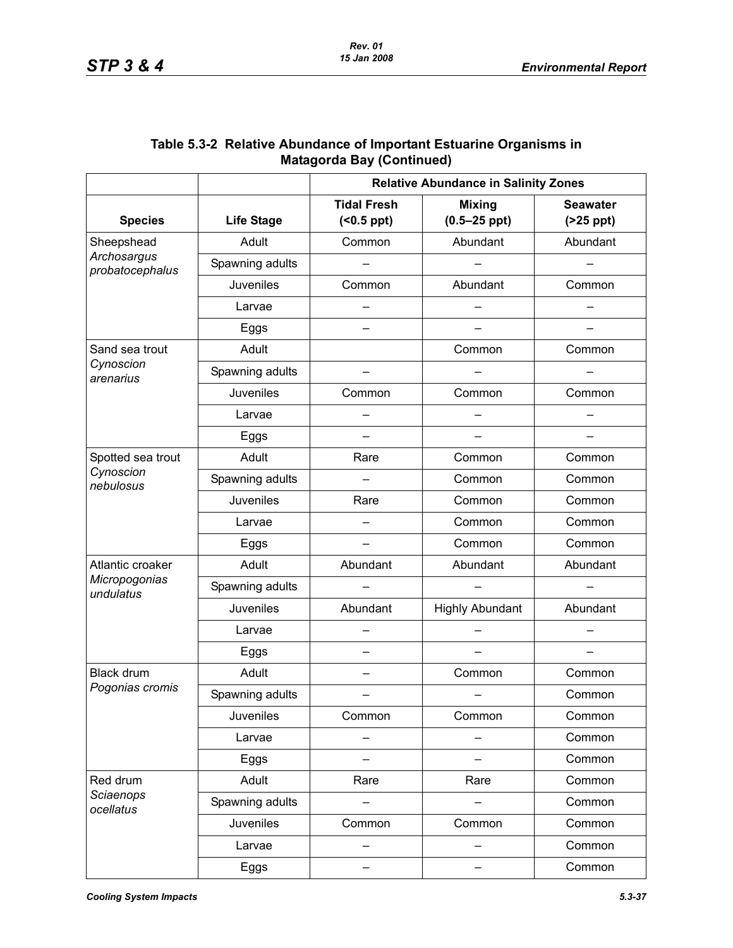|                                             |                   | <b>Relative Abundance in Salinity Zones</b> |                                   |                               |  |  |  |
|---------------------------------------------|-------------------|---------------------------------------------|-----------------------------------|-------------------------------|--|--|--|
| <b>Species</b>                              | <b>Life Stage</b> | <b>Tidal Fresh</b><br>$( < 0.5$ ppt $)$     | <b>Mixing</b><br>$(0.5 - 25$ ppt) | <b>Seawater</b><br>$(25$ ppt) |  |  |  |
| Sheepshead                                  | Adult             | Common                                      | Abundant                          | Abundant                      |  |  |  |
| Archosargus<br>probatocephalus              | Spawning adults   |                                             |                                   |                               |  |  |  |
|                                             | <b>Juveniles</b>  | Common                                      | Abundant                          | Common                        |  |  |  |
|                                             | Larvae            |                                             |                                   |                               |  |  |  |
|                                             | Eggs              |                                             |                                   |                               |  |  |  |
| Sand sea trout                              | Adult             |                                             | Common                            | Common                        |  |  |  |
| Cynoscion<br>arenarius                      | Spawning adults   |                                             |                                   |                               |  |  |  |
|                                             | Juveniles         | Common                                      | Common                            | Common                        |  |  |  |
|                                             | Larvae            |                                             |                                   |                               |  |  |  |
|                                             | Eggs              |                                             |                                   |                               |  |  |  |
| Spotted sea trout<br>Cynoscion<br>nebulosus | Adult             | Rare                                        | Common                            | Common                        |  |  |  |
|                                             | Spawning adults   |                                             | Common                            | Common                        |  |  |  |
|                                             | <b>Juveniles</b>  | Rare                                        | Common                            | Common                        |  |  |  |
|                                             | Larvae            |                                             | Common                            | Common                        |  |  |  |
|                                             | Eggs              |                                             | Common                            | Common                        |  |  |  |
| Atlantic croaker                            | Adult             | Abundant                                    | Abundant                          | Abundant                      |  |  |  |
| Micropogonias<br>undulatus                  | Spawning adults   |                                             |                                   |                               |  |  |  |
|                                             | <b>Juveniles</b>  | Abundant                                    | <b>Highly Abundant</b>            | Abundant                      |  |  |  |
|                                             | Larvae            |                                             |                                   |                               |  |  |  |
|                                             | Eggs              |                                             |                                   |                               |  |  |  |
| <b>Black drum</b>                           | Adult             |                                             | Common                            | Common                        |  |  |  |
| Pogonias cromis                             | Spawning adults   |                                             |                                   | Common                        |  |  |  |
|                                             | Juveniles         | Common                                      | Common                            | Common                        |  |  |  |
|                                             | Larvae            |                                             |                                   | Common                        |  |  |  |
|                                             | Eggs              |                                             |                                   | Common                        |  |  |  |
| Red drum                                    | Adult             | Rare                                        | Rare                              | Common                        |  |  |  |
| Sciaenops<br>ocellatus                      | Spawning adults   |                                             |                                   | Common                        |  |  |  |
|                                             | Juveniles         | Common                                      | Common                            | Common                        |  |  |  |
|                                             | Larvae            |                                             |                                   | Common                        |  |  |  |
|                                             | Eggs              |                                             |                                   | Common                        |  |  |  |

| Table 5.3-2 Relative Abundance of Important Estuarine Organisms in |
|--------------------------------------------------------------------|
| <b>Matagorda Bay (Continued)</b>                                   |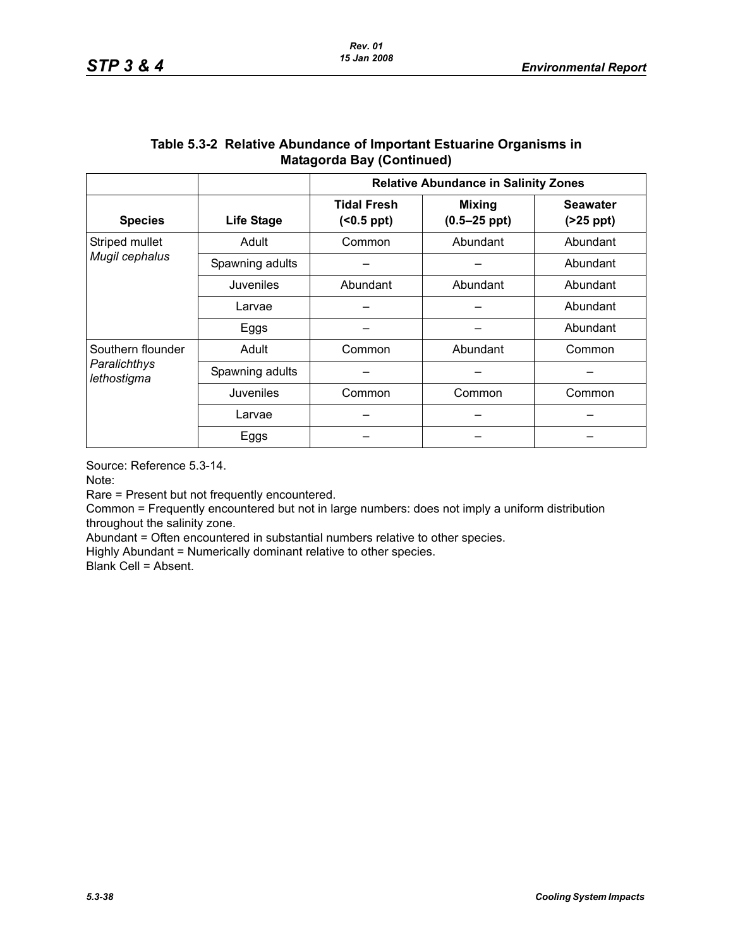|                                  |                   | <b>Relative Abundance in Salinity Zones</b> |                                   |                               |  |  |
|----------------------------------|-------------------|---------------------------------------------|-----------------------------------|-------------------------------|--|--|
| <b>Species</b>                   | <b>Life Stage</b> | <b>Tidal Fresh</b><br>$(50.5$ ppt)          | <b>Mixing</b><br>$(0.5 - 25$ ppt) | <b>Seawater</b><br>$(25$ ppt) |  |  |
| Striped mullet<br>Mugil cephalus | Adult             | Common                                      | Abundant                          | Abundant                      |  |  |
|                                  | Spawning adults   |                                             |                                   | Abundant                      |  |  |
|                                  | Juveniles         | Abundant<br>Abundant                        |                                   | Abundant                      |  |  |
|                                  | Larvae            |                                             |                                   | Abundant                      |  |  |
|                                  | Eggs              |                                             |                                   | Abundant                      |  |  |
| Southern flounder                | Adult             | Common                                      | Abundant                          | Common                        |  |  |
| Paralichthys<br>lethostigma      | Spawning adults   |                                             |                                   |                               |  |  |
|                                  | Juveniles         | Common                                      | Common                            | Common                        |  |  |
|                                  | Larvae            |                                             |                                   |                               |  |  |
|                                  | Eggs              |                                             |                                   |                               |  |  |

### **Table 5.3-2 Relative Abundance of Important Estuarine Organisms in Matagorda Bay (Continued)**

Source: Reference 5.3-14.

Note:

Rare = Present but not frequently encountered.

Common = Frequently encountered but not in large numbers: does not imply a uniform distribution throughout the salinity zone.

Abundant = Often encountered in substantial numbers relative to other species.

Highly Abundant = Numerically dominant relative to other species.

Blank Cell = Absent.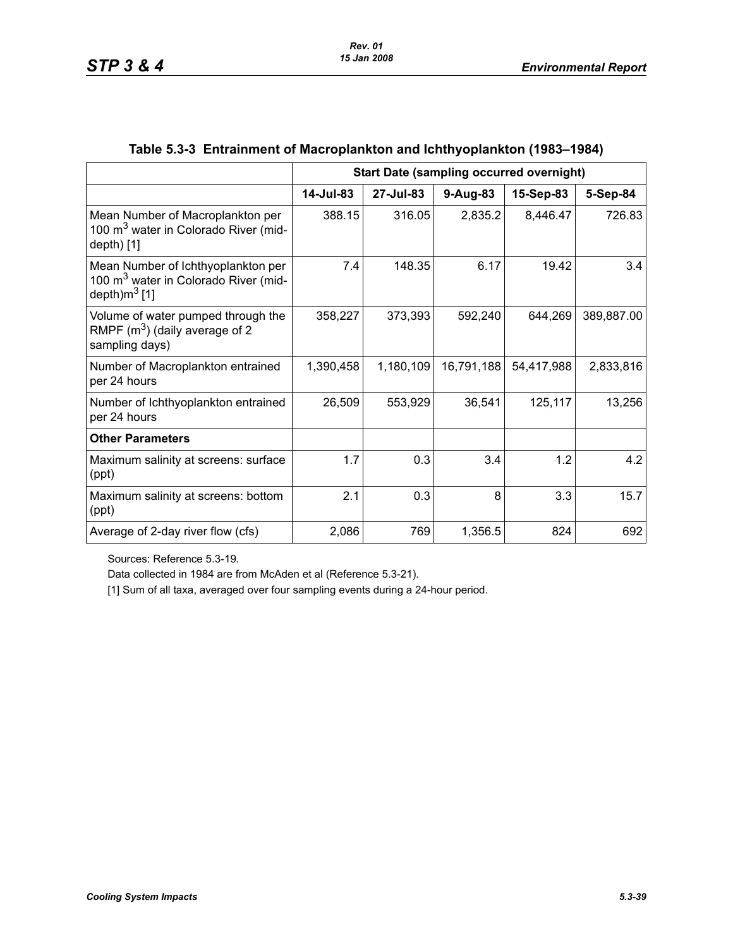|                                                                                                            |           | <b>Start Date (sampling occurred overnight)</b> |            |            |            |
|------------------------------------------------------------------------------------------------------------|-----------|-------------------------------------------------|------------|------------|------------|
|                                                                                                            | 14-Jul-83 | 27-Jul-83                                       | 9-Aug-83   | 15-Sep-83  | 5-Sep-84   |
| Mean Number of Macroplankton per<br>100 m <sup>3</sup> water in Colorado River (mid-<br>$depth)$ [1]       | 388.15    | 316.05                                          | 2,835.2    | 8,446.47   | 726.83     |
| Mean Number of Ichthyoplankton per<br>100 m <sup>3</sup> water in Colorado River (mid-<br>depth) $m^3$ [1] | 7.4       | 148.35                                          | 6.17       | 19.42      | 3.4        |
| Volume of water pumped through the<br>RMPF $(m^3)$ (daily average of 2<br>sampling days)                   | 358,227   | 373,393                                         | 592,240    | 644,269    | 389,887.00 |
| Number of Macroplankton entrained<br>per 24 hours                                                          | 1,390,458 | 1,180,109                                       | 16,791,188 | 54,417,988 | 2,833,816  |
| Number of Ichthyoplankton entrained<br>per 24 hours                                                        | 26,509    | 553,929                                         | 36,541     | 125,117    | 13,256     |
| <b>Other Parameters</b>                                                                                    |           |                                                 |            |            |            |
| Maximum salinity at screens: surface<br>(ppt)                                                              | 1.7       | 0.3                                             | 3.4        | 1.2        | 4.2        |
| Maximum salinity at screens: bottom<br>(ppt)                                                               | 2.1       | 0.3                                             | 8          | 3.3        | 15.7       |
| Average of 2-day river flow (cfs)                                                                          | 2,086     | 769                                             | 1,356.5    | 824        | 692        |

# **Table 5.3-3 Entrainment of Macroplankton and Ichthyoplankton (1983–1984)**

Sources: Reference 5.3-19.

Data collected in 1984 are from McAden et al (Reference 5.3-21).

[1] Sum of all taxa, averaged over four sampling events during a 24-hour period.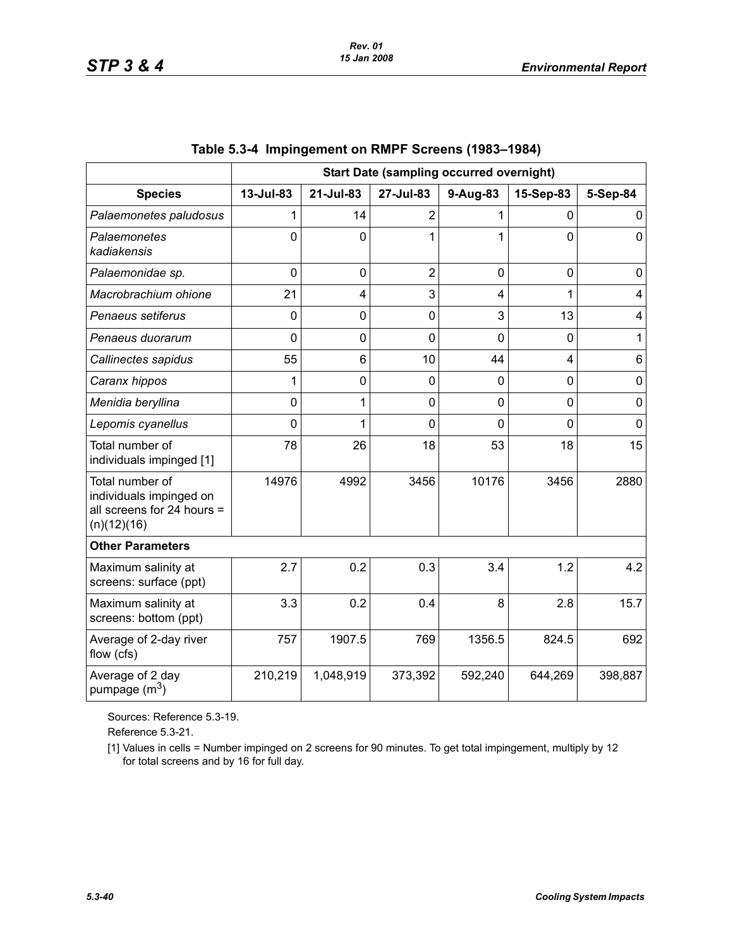|                                                                                         | <b>Start Date (sampling occurred overnight)</b> |                |                |          |                |             |
|-----------------------------------------------------------------------------------------|-------------------------------------------------|----------------|----------------|----------|----------------|-------------|
| <b>Species</b>                                                                          | 13-Jul-83                                       | 21-Jul-83      | 27-Jul-83      | 9-Aug-83 | 15-Sep-83      | 5-Sep-84    |
| Palaemonetes paludosus                                                                  |                                                 | 14             | $\overline{2}$ |          | 0              | 0           |
| Palaemonetes<br>kadiakensis                                                             | $\Omega$                                        | $\mathbf 0$    | 1              | 1        | $\overline{0}$ | $\Omega$    |
| Palaemonidae sp.                                                                        | 0                                               | $\overline{0}$ | $\overline{2}$ | 0        | $\mathbf 0$    | $\mathbf 0$ |
| Macrobrachium ohione                                                                    | 21                                              | 4              | 3              | 4        | 1              | 4           |
| Penaeus setiferus                                                                       | $\Omega$                                        | 0              | $\overline{0}$ | 3        | 13             | 4           |
| Penaeus duorarum                                                                        | $\mathbf 0$                                     | $\mathbf 0$    | $\mathbf 0$    | 0        | 0              | 1           |
| Callinectes sapidus                                                                     | 55                                              | 6              | 10             | 44       | $\overline{4}$ | 6           |
| Caranx hippos                                                                           | 1                                               | 0              | 0              | 0        | $\mathbf 0$    | $\mathbf 0$ |
| Menidia beryllina                                                                       | 0                                               | 1              | $\mathbf 0$    | 0        | $\overline{0}$ | $\mathbf 0$ |
| Lepomis cyanellus                                                                       | 0                                               | 1              | 0              | 0        | 0              | $\mathbf 0$ |
| Total number of<br>individuals impinged [1]                                             | 78                                              | 26             | 18             | 53       | 18             | 15          |
| Total number of<br>individuals impinged on<br>all screens for 24 hours =<br>(n)(12)(16) | 14976                                           | 4992           | 3456           | 10176    | 3456           | 2880        |
| <b>Other Parameters</b>                                                                 |                                                 |                |                |          |                |             |
| Maximum salinity at<br>screens: surface (ppt)                                           | 2.7                                             | 0.2            | 0.3            | 3.4      | 1.2            | 4.2         |
| Maximum salinity at<br>screens: bottom (ppt)                                            | 3.3                                             | 0.2            | 0.4            | 8        | 2.8            | 15.7        |
| Average of 2-day river<br>flow (cfs)                                                    | 757                                             | 1907.5         | 769            | 1356.5   | 824.5          | 692         |
| Average of 2 day<br>pumpage (m <sup>3</sup> )                                           | 210,219                                         | 1,048,919      | 373,392        | 592,240  | 644,269        | 398,887     |

# **Table 5.3-4 Impingement on RMPF Screens (1983–1984)**

Sources: Reference 5.3-19.

Reference 5.3-21.

[1] Values in cells = Number impinged on 2 screens for 90 minutes. To get total impingement, multiply by 12 for total screens and by 16 for full day.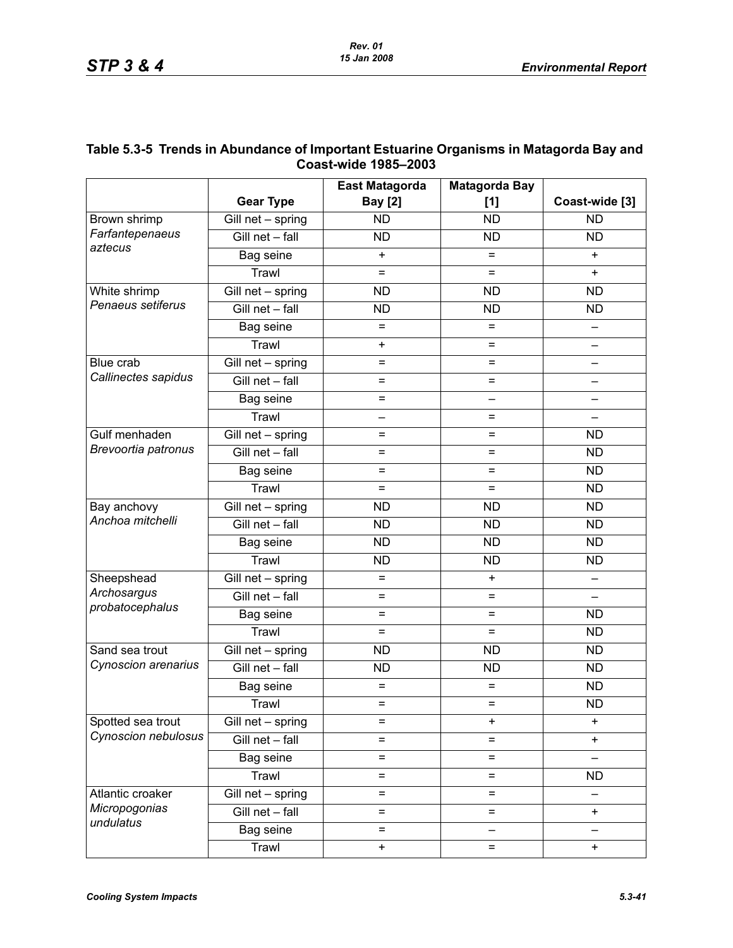|                     |                                 | COUST-WIDE 1900-ZUUS     |                      |                          |
|---------------------|---------------------------------|--------------------------|----------------------|--------------------------|
|                     |                                 | East Matagorda           | <b>Matagorda Bay</b> |                          |
|                     | <b>Gear Type</b>                | <b>Bay</b> [2]           | [1]                  | Coast-wide [3]           |
| Brown shrimp        | Gill net - spring               | <b>ND</b>                | <b>ND</b>            | <b>ND</b>                |
| Farfantepenaeus     | Gill net - fall                 | <b>ND</b>                | <b>ND</b>            | <b>ND</b>                |
| aztecus             | Bag seine                       | $\ddot{}$                | $=$                  | $\ddot{}$                |
|                     | Trawl                           | $=$                      | $=$                  | $\ddot{}$                |
| White shrimp        | Gill net - spring               | <b>ND</b>                | <b>ND</b>            | <b>ND</b>                |
| Penaeus setiferus   | Gill net - fall                 | <b>ND</b>                | <b>ND</b>            | <b>ND</b>                |
|                     | Bag seine                       | $=$                      | $=$                  |                          |
|                     | Trawl                           | $\ddot{}$                | $=$                  |                          |
| Blue crab           | Gill net - spring               | $=$                      | $=$                  |                          |
| Callinectes sapidus | Gill net - fall                 | $=$                      | $=$                  |                          |
|                     | Bag seine                       | $=$                      |                      |                          |
|                     | Trawl                           | $\overline{\phantom{0}}$ | $=$                  |                          |
| Gulf menhaden       | Gill net - spring               | $=$                      | $=$                  | <b>ND</b>                |
| Brevoortia patronus | Gill net - fall                 | $=$                      | $=$                  | <b>ND</b>                |
|                     | Bag seine                       | $=$                      | $=$                  | <b>ND</b>                |
|                     | Trawl                           | $=$                      | $=$                  | <b>ND</b>                |
| Bay anchovy         | Gill net - spring               | <b>ND</b>                | <b>ND</b>            | <b>ND</b>                |
| Anchoa mitchelli    | Gill net - fall                 | <b>ND</b>                | <b>ND</b>            | <b>ND</b>                |
|                     | Bag seine                       | <b>ND</b>                | <b>ND</b>            | <b>ND</b>                |
|                     | Trawl                           | <b>ND</b>                | <b>ND</b>            | <b>ND</b>                |
| Sheepshead          | Gill net - spring               | $=$                      | $\ddot{}$            |                          |
| Archosargus         | Gill net - fall                 | $=$                      | $=$                  | $\overline{\phantom{0}}$ |
| probatocephalus     | Bag seine                       | $=$                      | $=$                  | <b>ND</b>                |
|                     | Trawl                           | $=$                      | $=$                  | <b>ND</b>                |
| Sand sea trout      | Gill net - spring               | <b>ND</b>                | <b>ND</b>            | <b>ND</b>                |
| Cynoscion arenarius | Gill net - fall                 | <b>ND</b>                | <b>ND</b>            | <b>ND</b>                |
|                     | Bag seine                       | =                        | $=$                  | <b>ND</b>                |
|                     | Trawl                           | =                        | =                    | $\overline{ND}$          |
| Spotted sea trout   | Gill net - spring               | =                        | $\ddot{}$            | $\ddot{}$                |
| Cynoscion nebulosus | Gill net - fall                 | $=$                      | $\equiv$             | $\ddot{}$                |
|                     | Bag seine                       | $=$                      | $=$                  |                          |
|                     | Trawl                           | $=$                      | $=$                  | <b>ND</b>                |
| Atlantic croaker    | $\overline{G}$ ill net - spring | $=$                      | $=$                  |                          |
| Micropogonias       | Gill net - fall                 | $=$                      | $=$                  | $\pm$                    |
| undulatus           | Bag seine                       | $=$                      |                      |                          |
|                     | Trawl                           | $\ddot{}$                | $=$                  | $\pm$                    |

#### **Table 5.3-5 Trends in Abundance of Important Estuarine Organisms in Matagorda Bay and Coast-wide 1985–2003**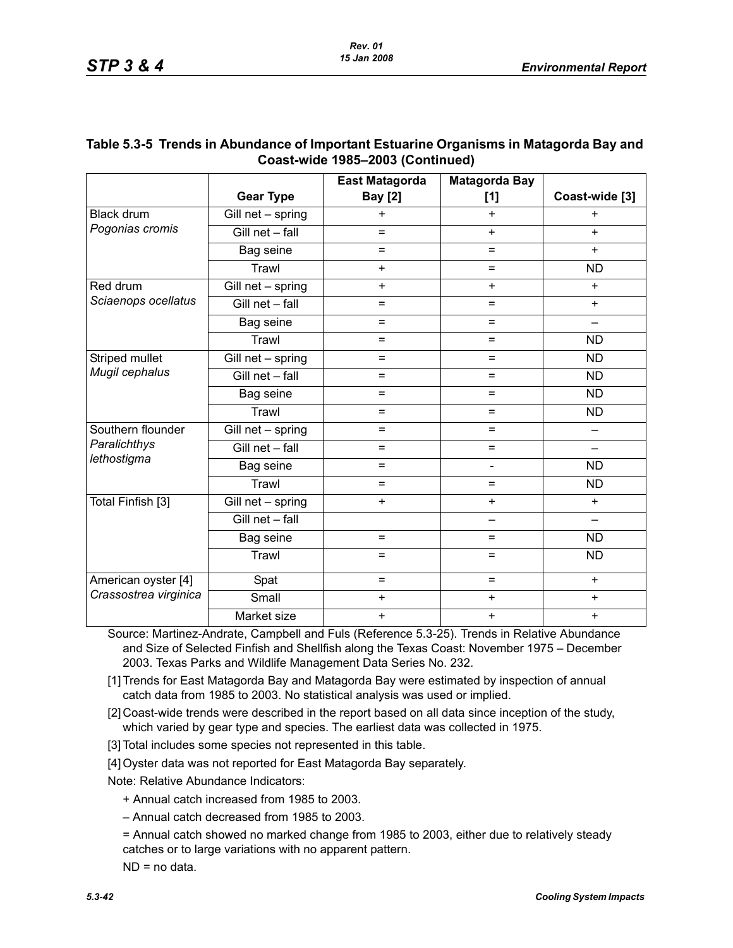|                                                  |                   | East Matagorda | <b>Matagorda Bay</b> |                          |
|--------------------------------------------------|-------------------|----------------|----------------------|--------------------------|
|                                                  | <b>Gear Type</b>  | <b>Bay</b> [2] | [1]                  | Coast-wide [3]           |
| <b>Black drum</b><br>Pogonias cromis             | Gill net - spring | $\ddot{}$      | $+$                  | $\ddot{}$                |
|                                                  | Gill net - fall   | $=$            | $+$                  | $\ddot{}$                |
|                                                  | Bag seine         | $=$            | $=$                  | $+$                      |
|                                                  | Trawl             | $+$            | $=$                  | <b>ND</b>                |
| Red drum<br>Sciaenops ocellatus                  | Gill net - spring | $\ddot{}$      | $\ddot{}$            | $+$                      |
|                                                  | Gill net - fall   | $=$            | $=$                  | $\ddot{}$                |
|                                                  | Bag seine         | $=$            | $=$                  | $\overline{\phantom{0}}$ |
|                                                  | Trawl             | $=$            | Ξ.                   | <b>ND</b>                |
| Striped mullet<br>Mugil cephalus                 | Gill net - spring | $=$            | $=$                  | <b>ND</b>                |
|                                                  | Gill net - fall   | $=$            | =                    | <b>ND</b>                |
|                                                  | Bag seine         | $=$            | $=$                  | <b>ND</b>                |
|                                                  | Trawl             | $=$            | Ξ.                   | <b>ND</b>                |
| Southern flounder<br>Paralichthys<br>lethostigma | Gill net - spring | $=$            | $=$                  |                          |
|                                                  | Gill net - fall   | $=$            | $=$                  |                          |
|                                                  | Bag seine         | $=$            | L,                   | <b>ND</b>                |
|                                                  | Trawl             | $=$            | Ξ.                   | <b>ND</b>                |
| Total Finfish [3]                                | Gill net - spring | $+$            | $+$                  | $+$                      |
|                                                  | Gill net - fall   |                | —                    |                          |
|                                                  | Bag seine         | $=$            | =                    | <b>ND</b>                |
|                                                  | Trawl             | $=$            | $=$                  | <b>ND</b>                |
| American oyster [4]                              | Spat              | $=$            | $=$                  | $+$                      |
| Crassostrea virginica                            | Small             | $+$            | $+$                  | $+$                      |
|                                                  | Market size       | $\ddot{}$      | $\ddot{}$            | $\ddot{}$                |

#### **Table 5.3-5 Trends in Abundance of Important Estuarine Organisms in Matagorda Bay and Coast-wide 1985–2003 (Continued)**

Source: Martinez-Andrate, Campbell and Fuls (Reference 5.3-25). Trends in Relative Abundance and Size of Selected Finfish and Shellfish along the Texas Coast: November 1975 – December 2003. Texas Parks and Wildlife Management Data Series No. 232.

[1] Trends for East Matagorda Bay and Matagorda Bay were estimated by inspection of annual catch data from 1985 to 2003. No statistical analysis was used or implied.

[2] Coast-wide trends were described in the report based on all data since inception of the study, which varied by gear type and species. The earliest data was collected in 1975.

[3] Total includes some species not represented in this table.

[4] Oyster data was not reported for East Matagorda Bay separately.

Note: Relative Abundance Indicators:

+ Annual catch increased from 1985 to 2003.

– Annual catch decreased from 1985 to 2003.

= Annual catch showed no marked change from 1985 to 2003, either due to relatively steady catches or to large variations with no apparent pattern.

ND = no data.